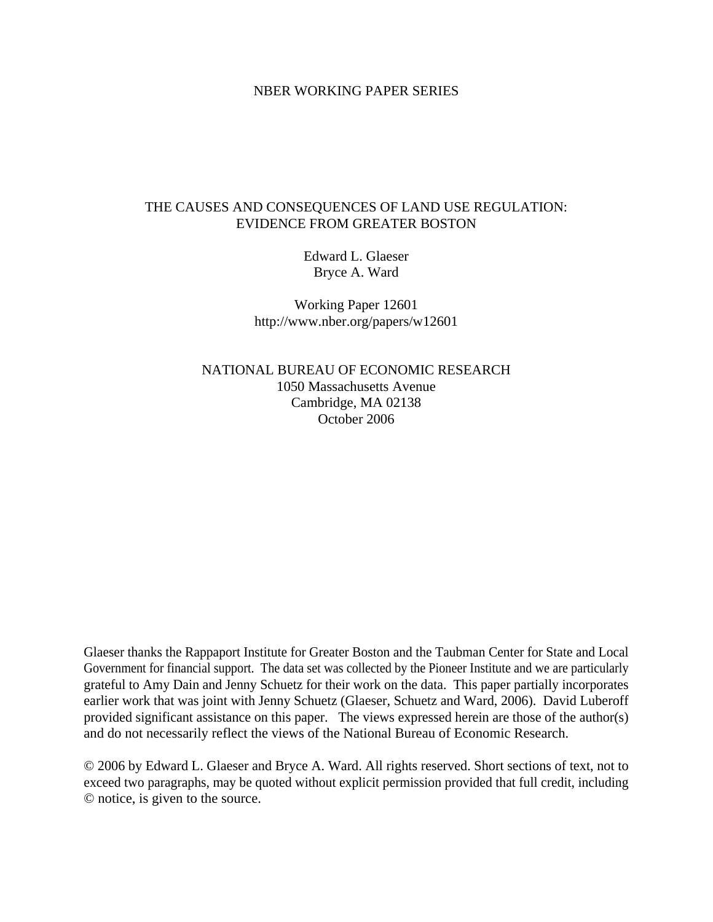## NBER WORKING PAPER SERIES

# THE CAUSES AND CONSEQUENCES OF LAND USE REGULATION: EVIDENCE FROM GREATER BOSTON

Edward L. Glaeser Bryce A. Ward

Working Paper 12601 http://www.nber.org/papers/w12601

NATIONAL BUREAU OF ECONOMIC RESEARCH 1050 Massachusetts Avenue Cambridge, MA 02138 October 2006

Glaeser thanks the Rappaport Institute for Greater Boston and the Taubman Center for State and Local Government for financial support. The data set was collected by the Pioneer Institute and we are particularly grateful to Amy Dain and Jenny Schuetz for their work on the data. This paper partially incorporates earlier work that was joint with Jenny Schuetz (Glaeser, Schuetz and Ward, 2006). David Luberoff provided significant assistance on this paper. The views expressed herein are those of the author(s) and do not necessarily reflect the views of the National Bureau of Economic Research.

© 2006 by Edward L. Glaeser and Bryce A. Ward. All rights reserved. Short sections of text, not to exceed two paragraphs, may be quoted without explicit permission provided that full credit, including © notice, is given to the source.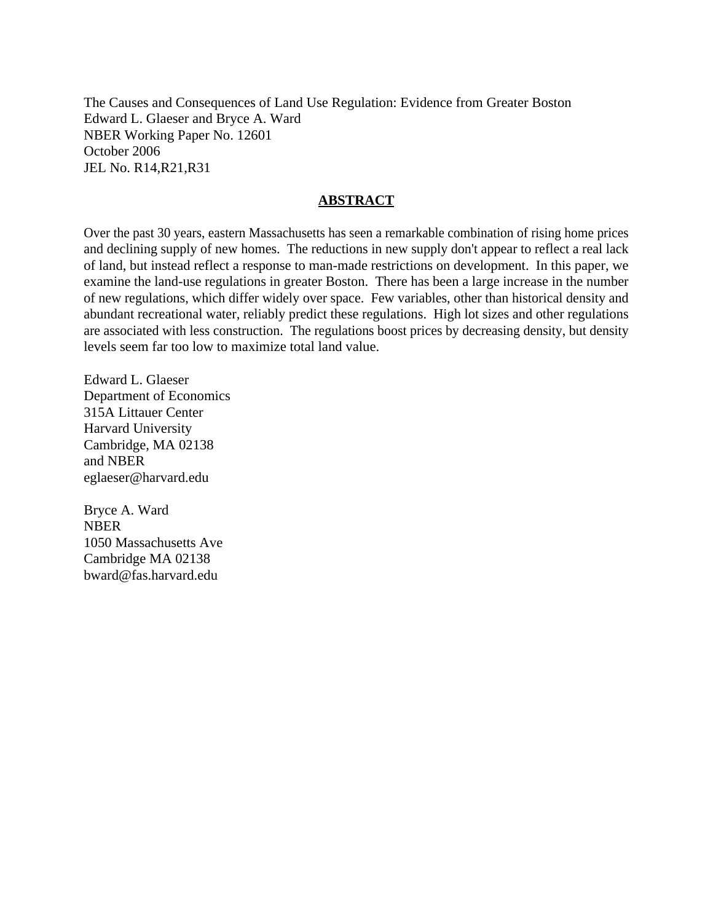The Causes and Consequences of Land Use Regulation: Evidence from Greater Boston Edward L. Glaeser and Bryce A. Ward NBER Working Paper No. 12601 October 2006 JEL No. R14,R21,R31

## **ABSTRACT**

Over the past 30 years, eastern Massachusetts has seen a remarkable combination of rising home prices and declining supply of new homes. The reductions in new supply don't appear to reflect a real lack of land, but instead reflect a response to man-made restrictions on development. In this paper, we examine the land-use regulations in greater Boston. There has been a large increase in the number of new regulations, which differ widely over space. Few variables, other than historical density and abundant recreational water, reliably predict these regulations. High lot sizes and other regulations are associated with less construction. The regulations boost prices by decreasing density, but density levels seem far too low to maximize total land value.

Edward L. Glaeser Department of Economics 315A Littauer Center Harvard University Cambridge, MA 02138 and NBER eglaeser@harvard.edu

Bryce A. Ward NBER 1050 Massachusetts Ave Cambridge MA 02138 bward@fas.harvard.edu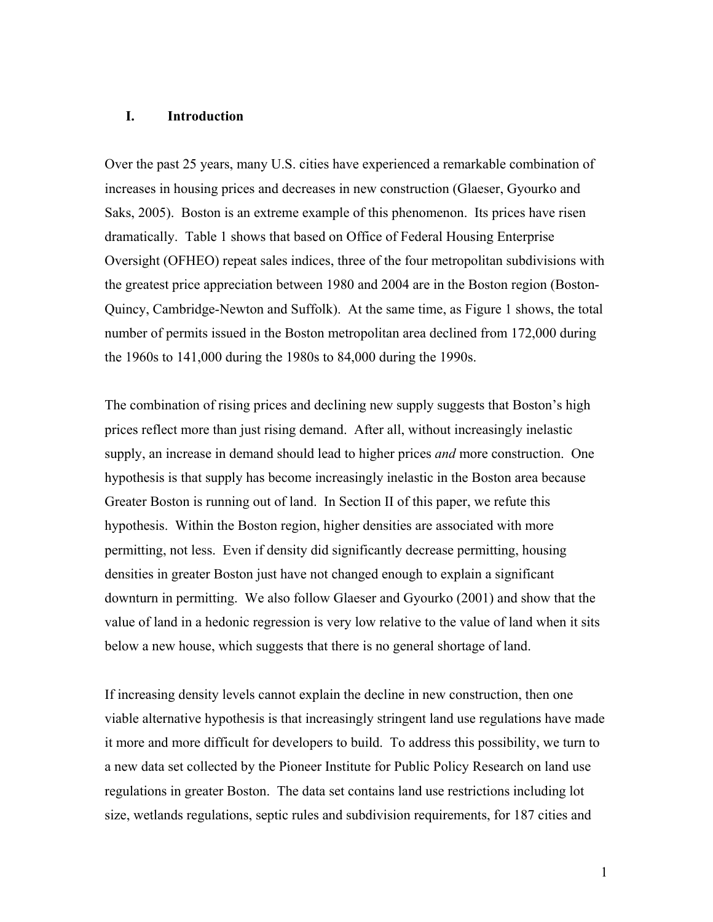## **I. Introduction**

Over the past 25 years, many U.S. cities have experienced a remarkable combination of increases in housing prices and decreases in new construction (Glaeser, Gyourko and Saks, 2005). Boston is an extreme example of this phenomenon. Its prices have risen dramatically. Table 1 shows that based on Office of Federal Housing Enterprise Oversight (OFHEO) repeat sales indices, three of the four metropolitan subdivisions with the greatest price appreciation between 1980 and 2004 are in the Boston region (Boston-Quincy, Cambridge-Newton and Suffolk). At the same time, as Figure 1 shows, the total number of permits issued in the Boston metropolitan area declined from 172,000 during the 1960s to 141,000 during the 1980s to 84,000 during the 1990s.

The combination of rising prices and declining new supply suggests that Boston's high prices reflect more than just rising demand. After all, without increasingly inelastic supply, an increase in demand should lead to higher prices *and* more construction. One hypothesis is that supply has become increasingly inelastic in the Boston area because Greater Boston is running out of land. In Section II of this paper, we refute this hypothesis. Within the Boston region, higher densities are associated with more permitting, not less. Even if density did significantly decrease permitting, housing densities in greater Boston just have not changed enough to explain a significant downturn in permitting. We also follow Glaeser and Gyourko (2001) and show that the value of land in a hedonic regression is very low relative to the value of land when it sits below a new house, which suggests that there is no general shortage of land.

If increasing density levels cannot explain the decline in new construction, then one viable alternative hypothesis is that increasingly stringent land use regulations have made it more and more difficult for developers to build. To address this possibility, we turn to a new data set collected by the Pioneer Institute for Public Policy Research on land use regulations in greater Boston. The data set contains land use restrictions including lot size, wetlands regulations, septic rules and subdivision requirements, for 187 cities and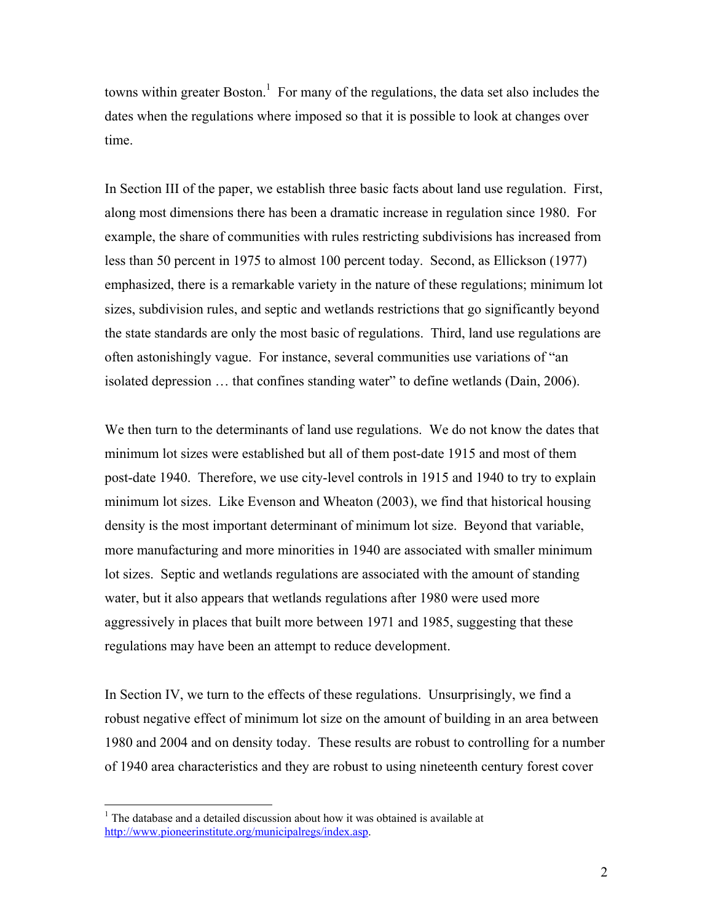towns within greater Boston.<sup>1</sup> For many of the regulations, the data set also includes the dates when the regulations where imposed so that it is possible to look at changes over time.

In Section III of the paper, we establish three basic facts about land use regulation. First, along most dimensions there has been a dramatic increase in regulation since 1980. For example, the share of communities with rules restricting subdivisions has increased from less than 50 percent in 1975 to almost 100 percent today. Second, as Ellickson (1977) emphasized, there is a remarkable variety in the nature of these regulations; minimum lot sizes, subdivision rules, and septic and wetlands restrictions that go significantly beyond the state standards are only the most basic of regulations. Third, land use regulations are often astonishingly vague. For instance, several communities use variations of "an isolated depression … that confines standing water" to define wetlands (Dain, 2006).

We then turn to the determinants of land use regulations. We do not know the dates that minimum lot sizes were established but all of them post-date 1915 and most of them post-date 1940. Therefore, we use city-level controls in 1915 and 1940 to try to explain minimum lot sizes. Like Evenson and Wheaton (2003), we find that historical housing density is the most important determinant of minimum lot size. Beyond that variable, more manufacturing and more minorities in 1940 are associated with smaller minimum lot sizes. Septic and wetlands regulations are associated with the amount of standing water, but it also appears that wetlands regulations after 1980 were used more aggressively in places that built more between 1971 and 1985, suggesting that these regulations may have been an attempt to reduce development.

In Section IV, we turn to the effects of these regulations. Unsurprisingly, we find a robust negative effect of minimum lot size on the amount of building in an area between 1980 and 2004 and on density today. These results are robust to controlling for a number of 1940 area characteristics and they are robust to using nineteenth century forest cover

 $\overline{a}$ 

<sup>&</sup>lt;sup>1</sup> The database and a detailed discussion about how it was obtained is available at http://www.pioneerinstitute.org/municipalregs/index.asp.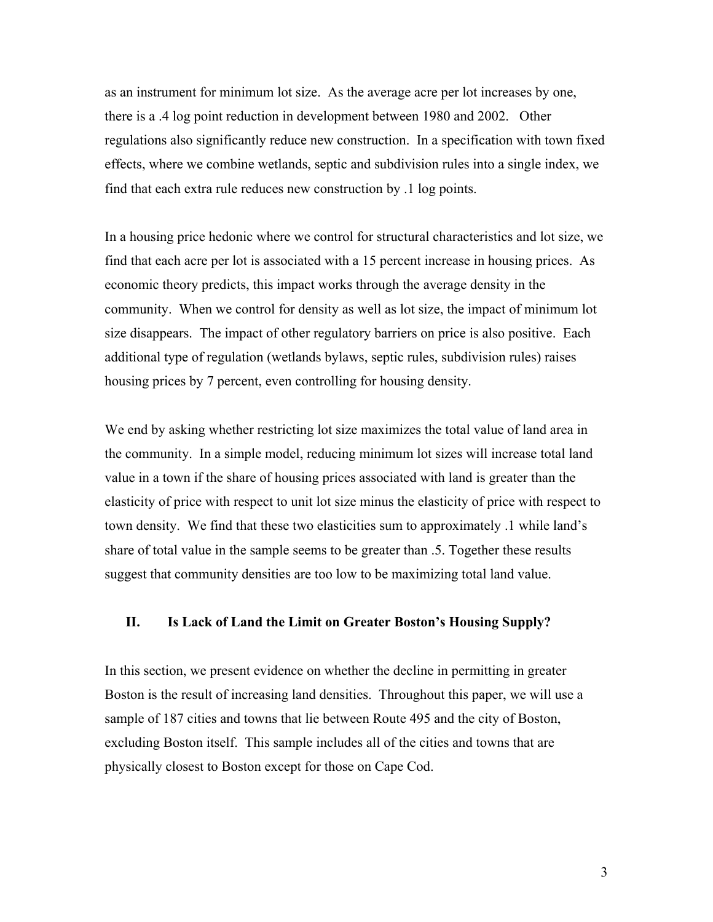as an instrument for minimum lot size. As the average acre per lot increases by one, there is a .4 log point reduction in development between 1980 and 2002. Other regulations also significantly reduce new construction. In a specification with town fixed effects, where we combine wetlands, septic and subdivision rules into a single index, we find that each extra rule reduces new construction by .1 log points.

In a housing price hedonic where we control for structural characteristics and lot size, we find that each acre per lot is associated with a 15 percent increase in housing prices. As economic theory predicts, this impact works through the average density in the community. When we control for density as well as lot size, the impact of minimum lot size disappears. The impact of other regulatory barriers on price is also positive. Each additional type of regulation (wetlands bylaws, septic rules, subdivision rules) raises housing prices by 7 percent, even controlling for housing density.

We end by asking whether restricting lot size maximizes the total value of land area in the community. In a simple model, reducing minimum lot sizes will increase total land value in a town if the share of housing prices associated with land is greater than the elasticity of price with respect to unit lot size minus the elasticity of price with respect to town density. We find that these two elasticities sum to approximately .1 while land's share of total value in the sample seems to be greater than .5. Together these results suggest that community densities are too low to be maximizing total land value.

# **II. Is Lack of Land the Limit on Greater Boston's Housing Supply?**

In this section, we present evidence on whether the decline in permitting in greater Boston is the result of increasing land densities. Throughout this paper, we will use a sample of 187 cities and towns that lie between Route 495 and the city of Boston, excluding Boston itself. This sample includes all of the cities and towns that are physically closest to Boston except for those on Cape Cod.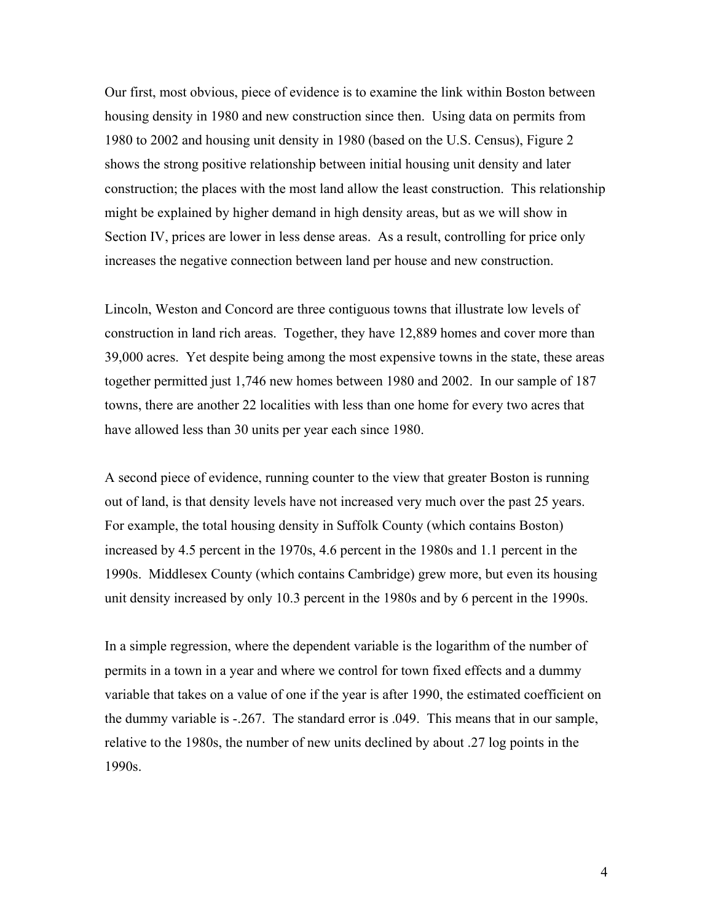Our first, most obvious, piece of evidence is to examine the link within Boston between housing density in 1980 and new construction since then. Using data on permits from 1980 to 2002 and housing unit density in 1980 (based on the U.S. Census), Figure 2 shows the strong positive relationship between initial housing unit density and later construction; the places with the most land allow the least construction. This relationship might be explained by higher demand in high density areas, but as we will show in Section IV, prices are lower in less dense areas. As a result, controlling for price only increases the negative connection between land per house and new construction.

Lincoln, Weston and Concord are three contiguous towns that illustrate low levels of construction in land rich areas. Together, they have 12,889 homes and cover more than 39,000 acres. Yet despite being among the most expensive towns in the state, these areas together permitted just 1,746 new homes between 1980 and 2002. In our sample of 187 towns, there are another 22 localities with less than one home for every two acres that have allowed less than 30 units per year each since 1980.

A second piece of evidence, running counter to the view that greater Boston is running out of land, is that density levels have not increased very much over the past 25 years. For example, the total housing density in Suffolk County (which contains Boston) increased by 4.5 percent in the 1970s, 4.6 percent in the 1980s and 1.1 percent in the 1990s. Middlesex County (which contains Cambridge) grew more, but even its housing unit density increased by only 10.3 percent in the 1980s and by 6 percent in the 1990s.

In a simple regression, where the dependent variable is the logarithm of the number of permits in a town in a year and where we control for town fixed effects and a dummy variable that takes on a value of one if the year is after 1990, the estimated coefficient on the dummy variable is -.267. The standard error is .049. This means that in our sample, relative to the 1980s, the number of new units declined by about .27 log points in the 1990s.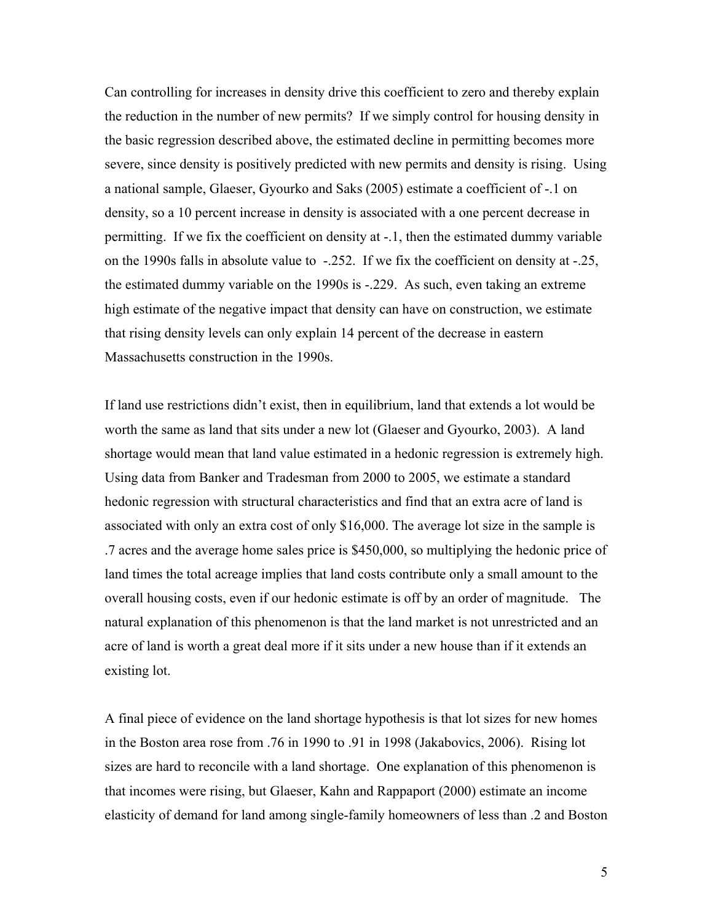Can controlling for increases in density drive this coefficient to zero and thereby explain the reduction in the number of new permits? If we simply control for housing density in the basic regression described above, the estimated decline in permitting becomes more severe, since density is positively predicted with new permits and density is rising. Using a national sample, Glaeser, Gyourko and Saks (2005) estimate a coefficient of -.1 on density, so a 10 percent increase in density is associated with a one percent decrease in permitting. If we fix the coefficient on density at -.1, then the estimated dummy variable on the 1990s falls in absolute value to -.252. If we fix the coefficient on density at -.25, the estimated dummy variable on the 1990s is -.229. As such, even taking an extreme high estimate of the negative impact that density can have on construction, we estimate that rising density levels can only explain 14 percent of the decrease in eastern Massachusetts construction in the 1990s.

If land use restrictions didn't exist, then in equilibrium, land that extends a lot would be worth the same as land that sits under a new lot (Glaeser and Gyourko, 2003). A land shortage would mean that land value estimated in a hedonic regression is extremely high. Using data from Banker and Tradesman from 2000 to 2005, we estimate a standard hedonic regression with structural characteristics and find that an extra acre of land is associated with only an extra cost of only \$16,000. The average lot size in the sample is .7 acres and the average home sales price is \$450,000, so multiplying the hedonic price of land times the total acreage implies that land costs contribute only a small amount to the overall housing costs, even if our hedonic estimate is off by an order of magnitude. The natural explanation of this phenomenon is that the land market is not unrestricted and an acre of land is worth a great deal more if it sits under a new house than if it extends an existing lot.

A final piece of evidence on the land shortage hypothesis is that lot sizes for new homes in the Boston area rose from .76 in 1990 to .91 in 1998 (Jakabovics, 2006). Rising lot sizes are hard to reconcile with a land shortage. One explanation of this phenomenon is that incomes were rising, but Glaeser, Kahn and Rappaport (2000) estimate an income elasticity of demand for land among single-family homeowners of less than .2 and Boston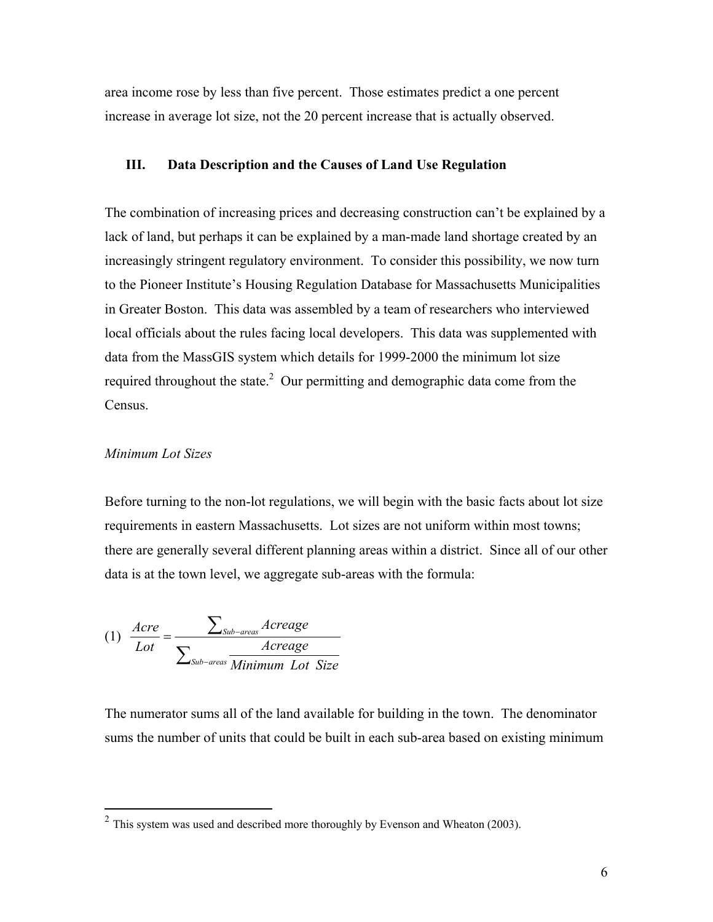area income rose by less than five percent. Those estimates predict a one percent increase in average lot size, not the 20 percent increase that is actually observed.

## **III. Data Description and the Causes of Land Use Regulation**

The combination of increasing prices and decreasing construction can't be explained by a lack of land, but perhaps it can be explained by a man-made land shortage created by an increasingly stringent regulatory environment. To consider this possibility, we now turn to the Pioneer Institute's Housing Regulation Database for Massachusetts Municipalities in Greater Boston. This data was assembled by a team of researchers who interviewed local officials about the rules facing local developers. This data was supplemented with data from the MassGIS system which details for 1999-2000 the minimum lot size required throughout the state.<sup>2</sup> Our permitting and demographic data come from the Census.

## *Minimum Lot Sizes*

1

Before turning to the non-lot regulations, we will begin with the basic facts about lot size requirements in eastern Massachusetts. Lot sizes are not uniform within most towns; there are generally several different planning areas within a district. Since all of our other data is at the town level, we aggregate sub-areas with the formula:

$$
(1) \frac{Are}{Lot} = \frac{\sum_{Sub-areas} Average}{\sum_{Sub-areas} Minimum Lot Size}
$$

The numerator sums all of the land available for building in the town. The denominator sums the number of units that could be built in each sub-area based on existing minimum

 $2$  This system was used and described more thoroughly by Evenson and Wheaton (2003).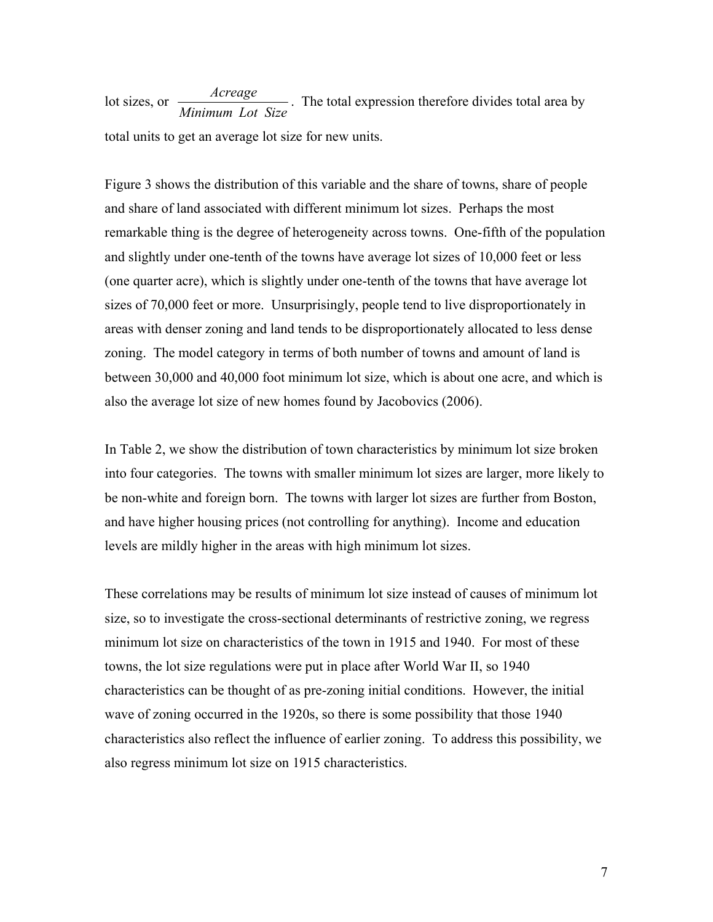lot sizes, or  $\frac{Average}{Minimum Lot Size}$ . The total expression therefore divides total area by total units to get an average lot size for new units.

Figure 3 shows the distribution of this variable and the share of towns, share of people and share of land associated with different minimum lot sizes. Perhaps the most remarkable thing is the degree of heterogeneity across towns. One-fifth of the population and slightly under one-tenth of the towns have average lot sizes of 10,000 feet or less (one quarter acre), which is slightly under one-tenth of the towns that have average lot sizes of 70,000 feet or more. Unsurprisingly, people tend to live disproportionately in areas with denser zoning and land tends to be disproportionately allocated to less dense zoning. The model category in terms of both number of towns and amount of land is between 30,000 and 40,000 foot minimum lot size, which is about one acre, and which is also the average lot size of new homes found by Jacobovics (2006).

In Table 2, we show the distribution of town characteristics by minimum lot size broken into four categories. The towns with smaller minimum lot sizes are larger, more likely to be non-white and foreign born. The towns with larger lot sizes are further from Boston, and have higher housing prices (not controlling for anything). Income and education levels are mildly higher in the areas with high minimum lot sizes.

These correlations may be results of minimum lot size instead of causes of minimum lot size, so to investigate the cross-sectional determinants of restrictive zoning, we regress minimum lot size on characteristics of the town in 1915 and 1940. For most of these towns, the lot size regulations were put in place after World War II, so 1940 characteristics can be thought of as pre-zoning initial conditions. However, the initial wave of zoning occurred in the 1920s, so there is some possibility that those 1940 characteristics also reflect the influence of earlier zoning. To address this possibility, we also regress minimum lot size on 1915 characteristics.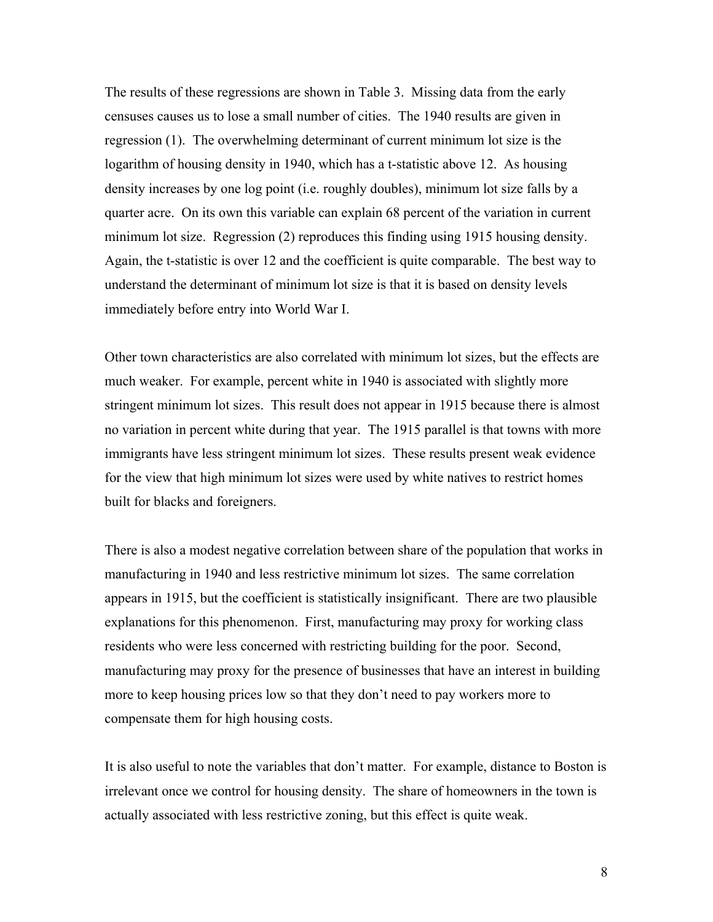The results of these regressions are shown in Table 3. Missing data from the early censuses causes us to lose a small number of cities. The 1940 results are given in regression (1). The overwhelming determinant of current minimum lot size is the logarithm of housing density in 1940, which has a t-statistic above 12. As housing density increases by one log point (i.e. roughly doubles), minimum lot size falls by a quarter acre. On its own this variable can explain 68 percent of the variation in current minimum lot size. Regression (2) reproduces this finding using 1915 housing density. Again, the t-statistic is over 12 and the coefficient is quite comparable. The best way to understand the determinant of minimum lot size is that it is based on density levels immediately before entry into World War I.

Other town characteristics are also correlated with minimum lot sizes, but the effects are much weaker. For example, percent white in 1940 is associated with slightly more stringent minimum lot sizes. This result does not appear in 1915 because there is almost no variation in percent white during that year. The 1915 parallel is that towns with more immigrants have less stringent minimum lot sizes. These results present weak evidence for the view that high minimum lot sizes were used by white natives to restrict homes built for blacks and foreigners.

There is also a modest negative correlation between share of the population that works in manufacturing in 1940 and less restrictive minimum lot sizes. The same correlation appears in 1915, but the coefficient is statistically insignificant. There are two plausible explanations for this phenomenon. First, manufacturing may proxy for working class residents who were less concerned with restricting building for the poor. Second, manufacturing may proxy for the presence of businesses that have an interest in building more to keep housing prices low so that they don't need to pay workers more to compensate them for high housing costs.

It is also useful to note the variables that don't matter. For example, distance to Boston is irrelevant once we control for housing density. The share of homeowners in the town is actually associated with less restrictive zoning, but this effect is quite weak.

8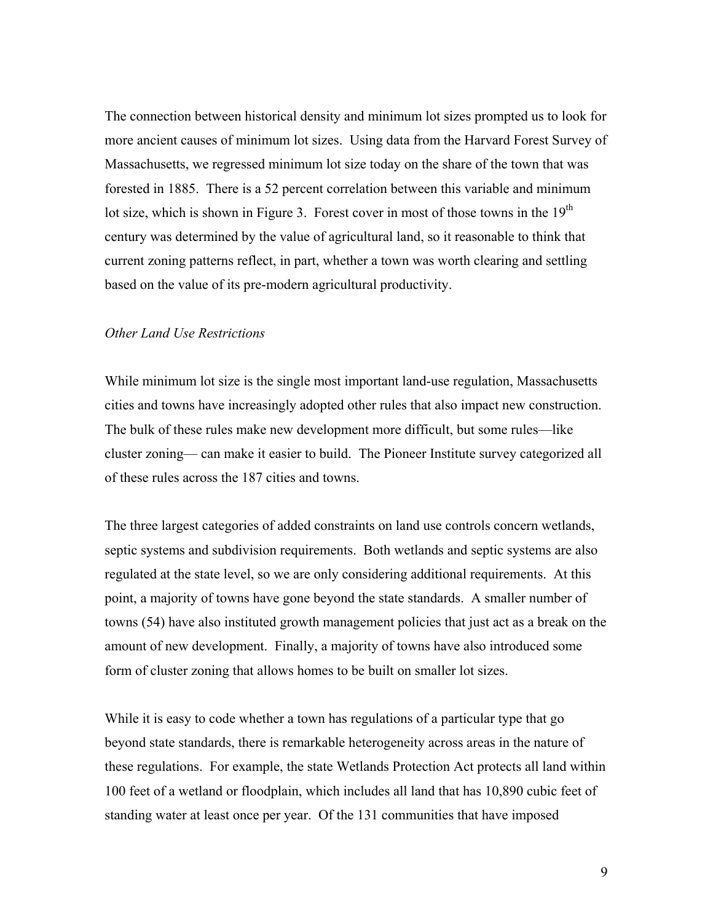The connection between historical density and minimum lot sizes prompted us to look for more ancient causes of minimum lot sizes. Using data from the Harvard Forest Survey of Massachusetts, we regressed minimum lot size today on the share of the town that was forested in 1885. There is a 52 percent correlation between this variable and minimum lot size, which is shown in Figure 3. Forest cover in most of those towns in the 19<sup>th</sup> century was determined by the value of agricultural land, so it reasonable to think that current zoning patterns reflect, in part, whether a town was worth clearing and settling based on the value of its pre-modern agricultural productivity.

# *Other Land Use Restrictions*

While minimum lot size is the single most important land-use regulation, Massachusetts cities and towns have increasingly adopted other rules that also impact new construction. The bulk of these rules make new development more difficult, but some rules—like cluster zoning— can make it easier to build. The Pioneer Institute survey categorized all of these rules across the 187 cities and towns.

The three largest categories of added constraints on land use controls concern wetlands, septic systems and subdivision requirements. Both wetlands and septic systems are also regulated at the state level, so we are only considering additional requirements. At this point, a majority of towns have gone beyond the state standards. A smaller number of towns (54) have also instituted growth management policies that just act as a break on the amount of new development. Finally, a majority of towns have also introduced some form of cluster zoning that allows homes to be built on smaller lot sizes.

While it is easy to code whether a town has regulations of a particular type that go beyond state standards, there is remarkable heterogeneity across areas in the nature of these regulations. For example, the state Wetlands Protection Act protects all land within 100 feet of a wetland or floodplain, which includes all land that has 10,890 cubic feet of standing water at least once per year. Of the 131 communities that have imposed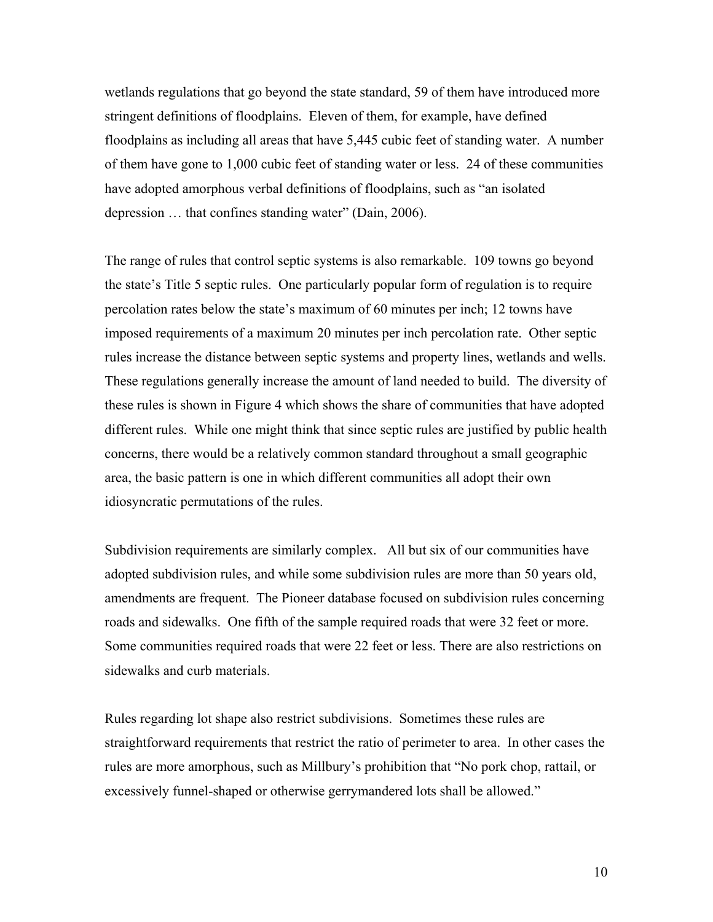wetlands regulations that go beyond the state standard, 59 of them have introduced more stringent definitions of floodplains. Eleven of them, for example, have defined floodplains as including all areas that have 5,445 cubic feet of standing water. A number of them have gone to 1,000 cubic feet of standing water or less. 24 of these communities have adopted amorphous verbal definitions of floodplains, such as "an isolated depression … that confines standing water" (Dain, 2006).

The range of rules that control septic systems is also remarkable. 109 towns go beyond the state's Title 5 septic rules. One particularly popular form of regulation is to require percolation rates below the state's maximum of 60 minutes per inch; 12 towns have imposed requirements of a maximum 20 minutes per inch percolation rate. Other septic rules increase the distance between septic systems and property lines, wetlands and wells. These regulations generally increase the amount of land needed to build. The diversity of these rules is shown in Figure 4 which shows the share of communities that have adopted different rules. While one might think that since septic rules are justified by public health concerns, there would be a relatively common standard throughout a small geographic area, the basic pattern is one in which different communities all adopt their own idiosyncratic permutations of the rules.

Subdivision requirements are similarly complex. All but six of our communities have adopted subdivision rules, and while some subdivision rules are more than 50 years old, amendments are frequent. The Pioneer database focused on subdivision rules concerning roads and sidewalks. One fifth of the sample required roads that were 32 feet or more. Some communities required roads that were 22 feet or less. There are also restrictions on sidewalks and curb materials.

Rules regarding lot shape also restrict subdivisions. Sometimes these rules are straightforward requirements that restrict the ratio of perimeter to area. In other cases the rules are more amorphous, such as Millbury's prohibition that "No pork chop, rattail, or excessively funnel-shaped or otherwise gerrymandered lots shall be allowed."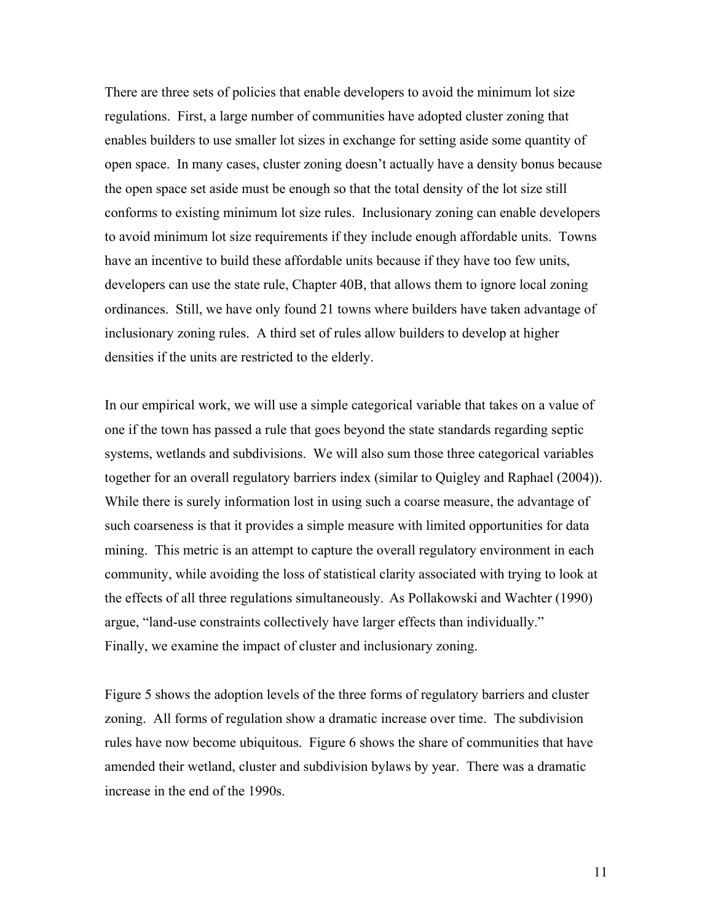There are three sets of policies that enable developers to avoid the minimum lot size regulations. First, a large number of communities have adopted cluster zoning that enables builders to use smaller lot sizes in exchange for setting aside some quantity of open space. In many cases, cluster zoning doesn't actually have a density bonus because the open space set aside must be enough so that the total density of the lot size still conforms to existing minimum lot size rules. Inclusionary zoning can enable developers to avoid minimum lot size requirements if they include enough affordable units. Towns have an incentive to build these affordable units because if they have too few units, developers can use the state rule, Chapter 40B, that allows them to ignore local zoning ordinances. Still, we have only found 21 towns where builders have taken advantage of inclusionary zoning rules. A third set of rules allow builders to develop at higher densities if the units are restricted to the elderly.

In our empirical work, we will use a simple categorical variable that takes on a value of one if the town has passed a rule that goes beyond the state standards regarding septic systems, wetlands and subdivisions. We will also sum those three categorical variables together for an overall regulatory barriers index (similar to Quigley and Raphael (2004)). While there is surely information lost in using such a coarse measure, the advantage of such coarseness is that it provides a simple measure with limited opportunities for data mining. This metric is an attempt to capture the overall regulatory environment in each community, while avoiding the loss of statistical clarity associated with trying to look at the effects of all three regulations simultaneously. As Pollakowski and Wachter (1990) argue, "land-use constraints collectively have larger effects than individually." Finally, we examine the impact of cluster and inclusionary zoning.

Figure 5 shows the adoption levels of the three forms of regulatory barriers and cluster zoning. All forms of regulation show a dramatic increase over time. The subdivision rules have now become ubiquitous. Figure 6 shows the share of communities that have amended their wetland, cluster and subdivision bylaws by year. There was a dramatic increase in the end of the 1990s.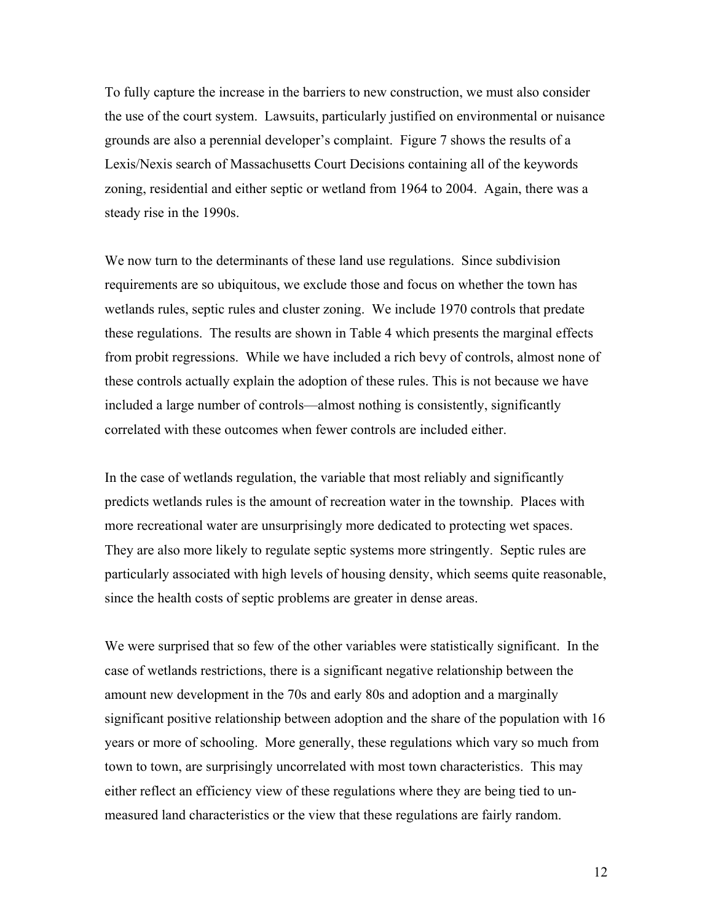To fully capture the increase in the barriers to new construction, we must also consider the use of the court system. Lawsuits, particularly justified on environmental or nuisance grounds are also a perennial developer's complaint. Figure 7 shows the results of a Lexis/Nexis search of Massachusetts Court Decisions containing all of the keywords zoning, residential and either septic or wetland from 1964 to 2004. Again, there was a steady rise in the 1990s.

We now turn to the determinants of these land use regulations. Since subdivision requirements are so ubiquitous, we exclude those and focus on whether the town has wetlands rules, septic rules and cluster zoning. We include 1970 controls that predate these regulations. The results are shown in Table 4 which presents the marginal effects from probit regressions. While we have included a rich bevy of controls, almost none of these controls actually explain the adoption of these rules. This is not because we have included a large number of controls—almost nothing is consistently, significantly correlated with these outcomes when fewer controls are included either.

In the case of wetlands regulation, the variable that most reliably and significantly predicts wetlands rules is the amount of recreation water in the township. Places with more recreational water are unsurprisingly more dedicated to protecting wet spaces. They are also more likely to regulate septic systems more stringently. Septic rules are particularly associated with high levels of housing density, which seems quite reasonable, since the health costs of septic problems are greater in dense areas.

We were surprised that so few of the other variables were statistically significant. In the case of wetlands restrictions, there is a significant negative relationship between the amount new development in the 70s and early 80s and adoption and a marginally significant positive relationship between adoption and the share of the population with 16 years or more of schooling. More generally, these regulations which vary so much from town to town, are surprisingly uncorrelated with most town characteristics. This may either reflect an efficiency view of these regulations where they are being tied to unmeasured land characteristics or the view that these regulations are fairly random.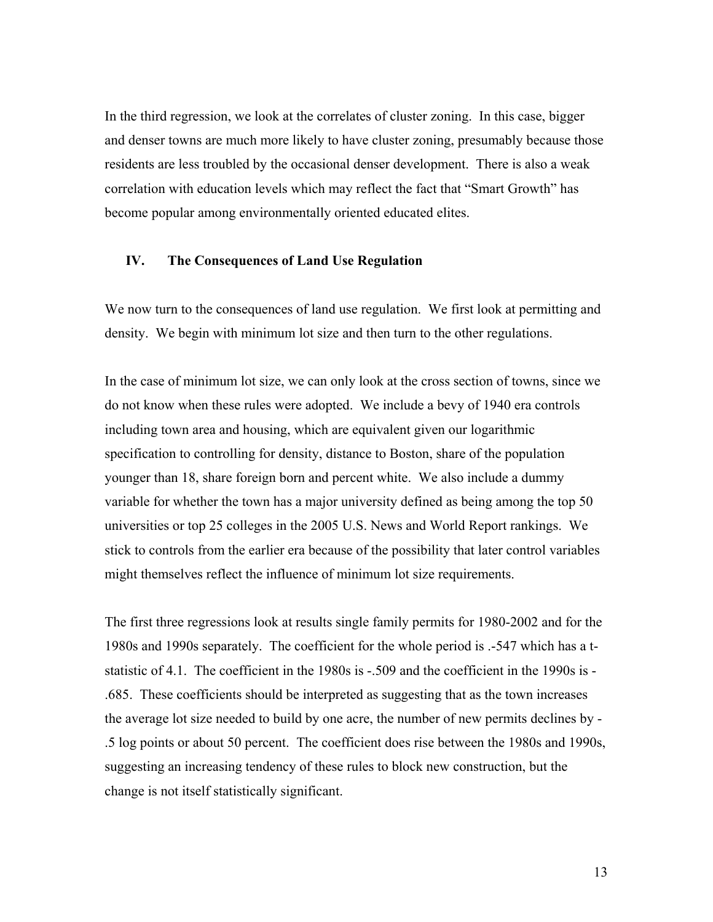In the third regression, we look at the correlates of cluster zoning. In this case, bigger and denser towns are much more likely to have cluster zoning, presumably because those residents are less troubled by the occasional denser development. There is also a weak correlation with education levels which may reflect the fact that "Smart Growth" has become popular among environmentally oriented educated elites.

#### **IV. The Consequences of Land Use Regulation**

We now turn to the consequences of land use regulation. We first look at permitting and density. We begin with minimum lot size and then turn to the other regulations.

In the case of minimum lot size, we can only look at the cross section of towns, since we do not know when these rules were adopted. We include a bevy of 1940 era controls including town area and housing, which are equivalent given our logarithmic specification to controlling for density, distance to Boston, share of the population younger than 18, share foreign born and percent white. We also include a dummy variable for whether the town has a major university defined as being among the top 50 universities or top 25 colleges in the 2005 U.S. News and World Report rankings. We stick to controls from the earlier era because of the possibility that later control variables might themselves reflect the influence of minimum lot size requirements.

The first three regressions look at results single family permits for 1980-2002 and for the 1980s and 1990s separately. The coefficient for the whole period is .-547 which has a tstatistic of 4.1. The coefficient in the 1980s is -.509 and the coefficient in the 1990s is - .685. These coefficients should be interpreted as suggesting that as the town increases the average lot size needed to build by one acre, the number of new permits declines by - .5 log points or about 50 percent. The coefficient does rise between the 1980s and 1990s, suggesting an increasing tendency of these rules to block new construction, but the change is not itself statistically significant.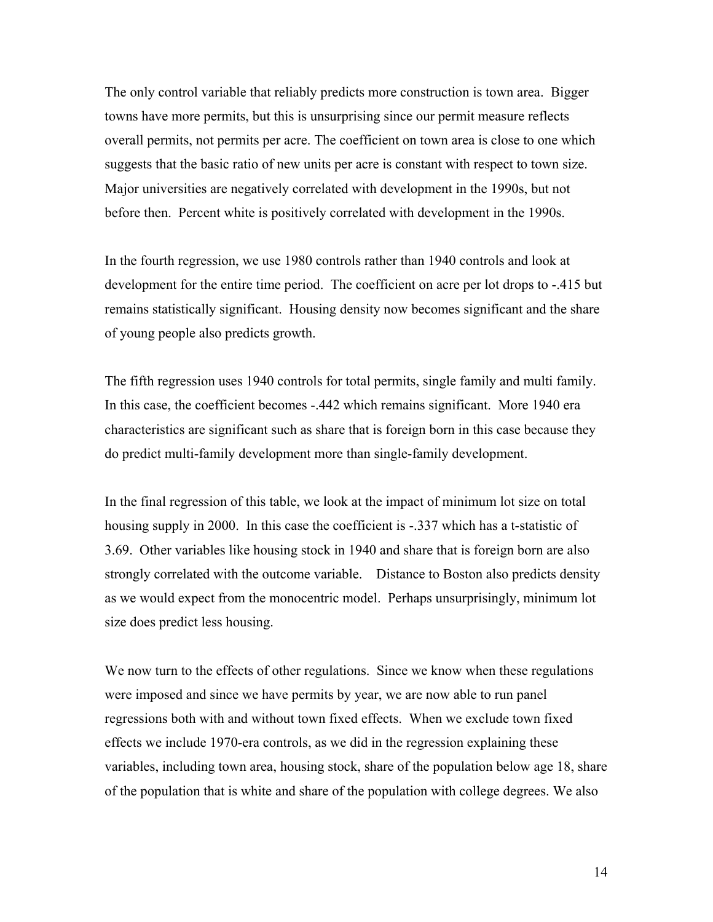The only control variable that reliably predicts more construction is town area. Bigger towns have more permits, but this is unsurprising since our permit measure reflects overall permits, not permits per acre. The coefficient on town area is close to one which suggests that the basic ratio of new units per acre is constant with respect to town size. Major universities are negatively correlated with development in the 1990s, but not before then. Percent white is positively correlated with development in the 1990s.

In the fourth regression, we use 1980 controls rather than 1940 controls and look at development for the entire time period. The coefficient on acre per lot drops to -.415 but remains statistically significant. Housing density now becomes significant and the share of young people also predicts growth.

The fifth regression uses 1940 controls for total permits, single family and multi family. In this case, the coefficient becomes -.442 which remains significant. More 1940 era characteristics are significant such as share that is foreign born in this case because they do predict multi-family development more than single-family development.

In the final regression of this table, we look at the impact of minimum lot size on total housing supply in 2000. In this case the coefficient is -.337 which has a t-statistic of 3.69. Other variables like housing stock in 1940 and share that is foreign born are also strongly correlated with the outcome variable. Distance to Boston also predicts density as we would expect from the monocentric model. Perhaps unsurprisingly, minimum lot size does predict less housing.

We now turn to the effects of other regulations. Since we know when these regulations were imposed and since we have permits by year, we are now able to run panel regressions both with and without town fixed effects. When we exclude town fixed effects we include 1970-era controls, as we did in the regression explaining these variables, including town area, housing stock, share of the population below age 18, share of the population that is white and share of the population with college degrees. We also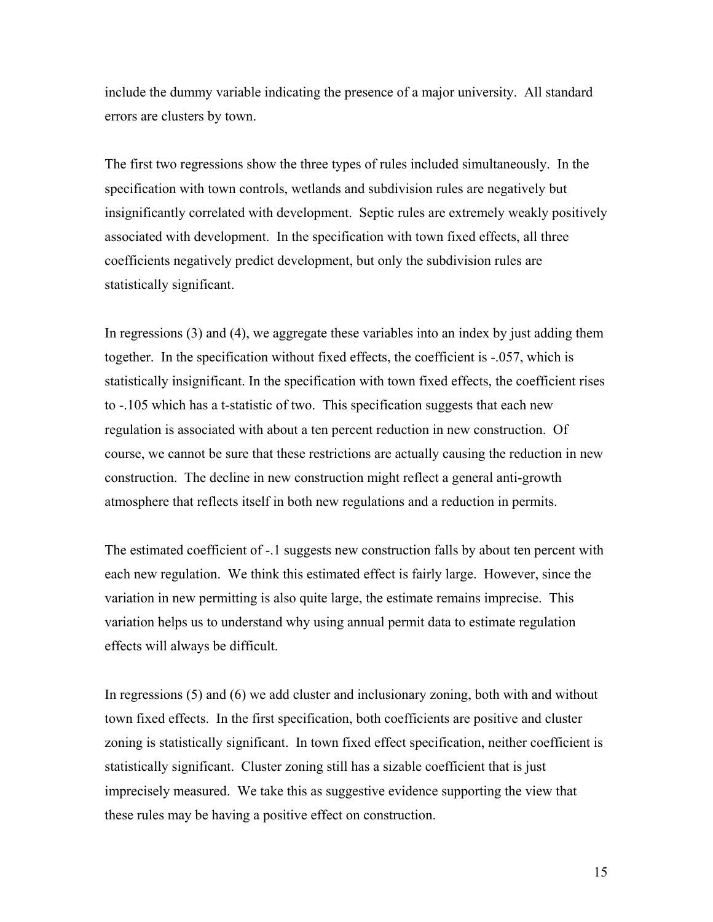include the dummy variable indicating the presence of a major university. All standard errors are clusters by town.

The first two regressions show the three types of rules included simultaneously. In the specification with town controls, wetlands and subdivision rules are negatively but insignificantly correlated with development. Septic rules are extremely weakly positively associated with development. In the specification with town fixed effects, all three coefficients negatively predict development, but only the subdivision rules are statistically significant.

In regressions (3) and (4), we aggregate these variables into an index by just adding them together. In the specification without fixed effects, the coefficient is -.057, which is statistically insignificant. In the specification with town fixed effects, the coefficient rises to -.105 which has a t-statistic of two. This specification suggests that each new regulation is associated with about a ten percent reduction in new construction. Of course, we cannot be sure that these restrictions are actually causing the reduction in new construction. The decline in new construction might reflect a general anti-growth atmosphere that reflects itself in both new regulations and a reduction in permits.

The estimated coefficient of -.1 suggests new construction falls by about ten percent with each new regulation. We think this estimated effect is fairly large. However, since the variation in new permitting is also quite large, the estimate remains imprecise. This variation helps us to understand why using annual permit data to estimate regulation effects will always be difficult.

In regressions (5) and (6) we add cluster and inclusionary zoning, both with and without town fixed effects. In the first specification, both coefficients are positive and cluster zoning is statistically significant. In town fixed effect specification, neither coefficient is statistically significant. Cluster zoning still has a sizable coefficient that is just imprecisely measured. We take this as suggestive evidence supporting the view that these rules may be having a positive effect on construction.

15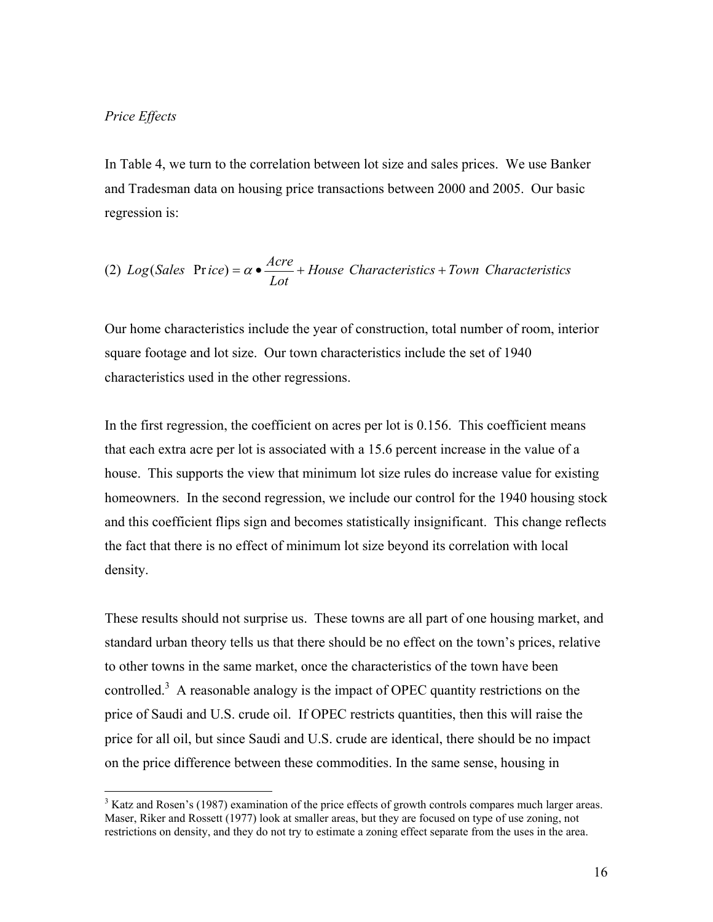## *Price Effects*

 $\overline{a}$ 

In Table 4, we turn to the correlation between lot size and sales prices. We use Banker and Tradesman data on housing price transactions between 2000 and 2005. Our basic regression is:

(2) Log(Sales Price) = 
$$
\alpha \cdot \frac{Arc}{Lot}
$$
 + House Characteristics + Town Characteristics

Our home characteristics include the year of construction, total number of room, interior square footage and lot size. Our town characteristics include the set of 1940 characteristics used in the other regressions.

In the first regression, the coefficient on acres per lot is 0.156. This coefficient means that each extra acre per lot is associated with a 15.6 percent increase in the value of a house. This supports the view that minimum lot size rules do increase value for existing homeowners. In the second regression, we include our control for the 1940 housing stock and this coefficient flips sign and becomes statistically insignificant. This change reflects the fact that there is no effect of minimum lot size beyond its correlation with local density.

These results should not surprise us. These towns are all part of one housing market, and standard urban theory tells us that there should be no effect on the town's prices, relative to other towns in the same market, once the characteristics of the town have been controlled.<sup>3</sup> A reasonable analogy is the impact of OPEC quantity restrictions on the price of Saudi and U.S. crude oil. If OPEC restricts quantities, then this will raise the price for all oil, but since Saudi and U.S. crude are identical, there should be no impact on the price difference between these commodities. In the same sense, housing in

 $3$  Katz and Rosen's (1987) examination of the price effects of growth controls compares much larger areas. Maser, Riker and Rossett (1977) look at smaller areas, but they are focused on type of use zoning, not restrictions on density, and they do not try to estimate a zoning effect separate from the uses in the area.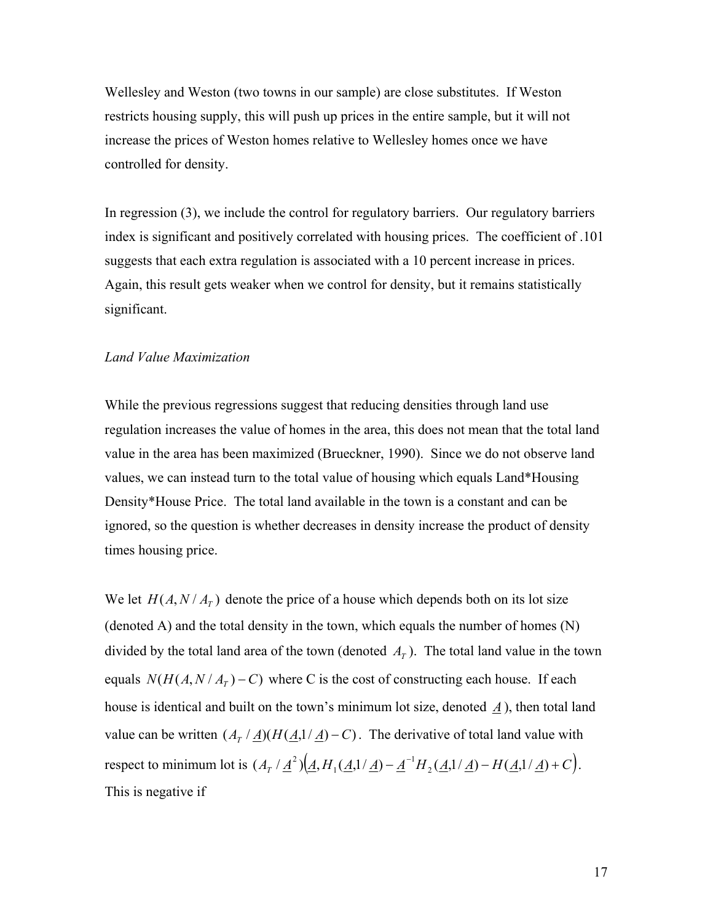Wellesley and Weston (two towns in our sample) are close substitutes. If Weston restricts housing supply, this will push up prices in the entire sample, but it will not increase the prices of Weston homes relative to Wellesley homes once we have controlled for density.

In regression (3), we include the control for regulatory barriers. Our regulatory barriers index is significant and positively correlated with housing prices. The coefficient of .101 suggests that each extra regulation is associated with a 10 percent increase in prices. Again, this result gets weaker when we control for density, but it remains statistically significant.

#### *Land Value Maximization*

While the previous regressions suggest that reducing densities through land use regulation increases the value of homes in the area, this does not mean that the total land value in the area has been maximized (Brueckner, 1990). Since we do not observe land values, we can instead turn to the total value of housing which equals Land\*Housing Density\*House Price. The total land available in the town is a constant and can be ignored, so the question is whether decreases in density increase the product of density times housing price.

We let  $H(A, N / A_T)$  denote the price of a house which depends both on its lot size (denoted A) and the total density in the town, which equals the number of homes (N) divided by the total land area of the town (denoted  $A<sub>T</sub>$ ). The total land value in the town equals  $N(H(A, N / A_T) - C)$  where C is the cost of constructing each house. If each house is identical and built on the town's minimum lot size, denoted *A* ), then total land value can be written  $(A_T / \underline{A})(H(\underline{A},1/\underline{A}) - C)$ . The derivative of total land value with respect to minimum lot is  $(A_T / \underline{A}^2) (\underline{A}, H_1(\underline{A}, 1/\underline{A}) - \underline{A}^{-1} H_2(\underline{A}, 1/\underline{A}) - H(\underline{A}, 1/\underline{A}) + C$  $^{2})$  $(A, H_{1}$  $(A, 1/\underline{A}) - \underline{A}^{-1}H_{2}$  $(A, 1/\underline{A}) - H(A, 1/\underline{A}) + C$  $).$ This is negative if

17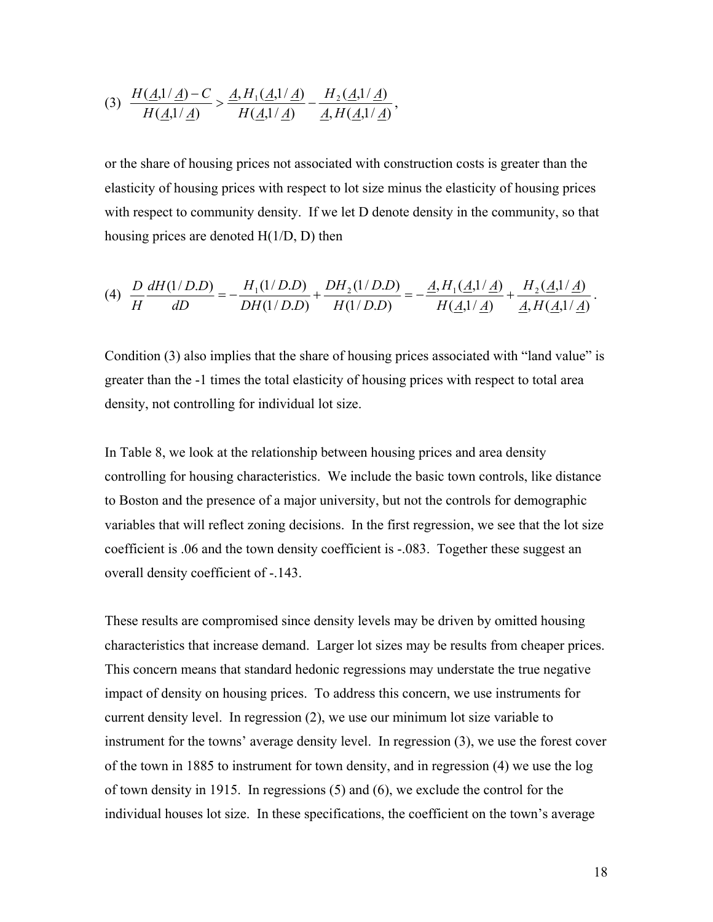(3) 
$$
\frac{H(\underline{A,1}/\underline{A})-C}{H(\underline{A,1}/\underline{A})} > \frac{\underline{A}, H_1(\underline{A,1}/\underline{A})}{H(\underline{A,1}/\underline{A})} - \frac{H_2(\underline{A,1}/\underline{A})}{\underline{A}, H(\underline{A,1}/\underline{A})},
$$

or the share of housing prices not associated with construction costs is greater than the elasticity of housing prices with respect to lot size minus the elasticity of housing prices with respect to community density. If we let D denote density in the community, so that housing prices are denoted H(1/D, D) then

$$
(4) \ \ \frac{D}{H} \frac{dH(1/D.D)}{dD} = -\frac{H_1(1/D.D)}{DH(1/D.D)} + \frac{DH_2(1/D.D)}{H(1/D.D)} = -\frac{\underline{A}, H_1(\underline{A},1/\underline{A})}{H(\underline{A},1/\underline{A})} + \frac{H_2(\underline{A},1/\underline{A})}{\underline{A}, H(\underline{A},1/\underline{A})}.
$$

Condition (3) also implies that the share of housing prices associated with "land value" is greater than the -1 times the total elasticity of housing prices with respect to total area density, not controlling for individual lot size.

In Table 8, we look at the relationship between housing prices and area density controlling for housing characteristics. We include the basic town controls, like distance to Boston and the presence of a major university, but not the controls for demographic variables that will reflect zoning decisions. In the first regression, we see that the lot size coefficient is .06 and the town density coefficient is -.083. Together these suggest an overall density coefficient of -.143.

These results are compromised since density levels may be driven by omitted housing characteristics that increase demand. Larger lot sizes may be results from cheaper prices. This concern means that standard hedonic regressions may understate the true negative impact of density on housing prices. To address this concern, we use instruments for current density level. In regression (2), we use our minimum lot size variable to instrument for the towns' average density level. In regression (3), we use the forest cover of the town in 1885 to instrument for town density, and in regression (4) we use the log of town density in 1915. In regressions (5) and (6), we exclude the control for the individual houses lot size. In these specifications, the coefficient on the town's average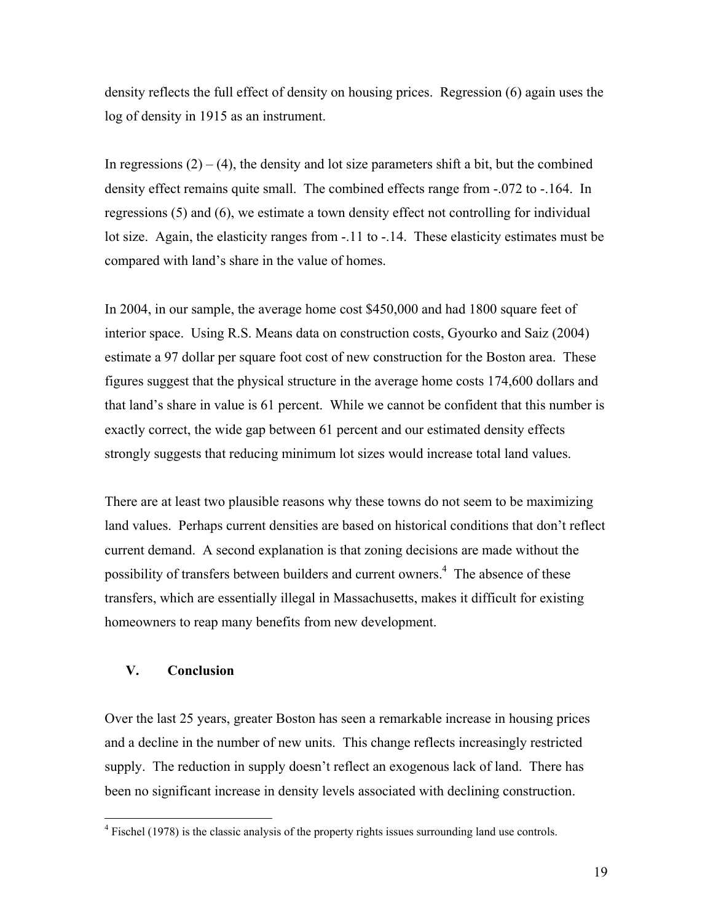density reflects the full effect of density on housing prices. Regression (6) again uses the log of density in 1915 as an instrument.

In regressions  $(2) - (4)$ , the density and lot size parameters shift a bit, but the combined density effect remains quite small. The combined effects range from -.072 to -.164. In regressions (5) and (6), we estimate a town density effect not controlling for individual lot size. Again, the elasticity ranges from -.11 to -.14. These elasticity estimates must be compared with land's share in the value of homes.

In 2004, in our sample, the average home cost \$450,000 and had 1800 square feet of interior space. Using R.S. Means data on construction costs, Gyourko and Saiz (2004) estimate a 97 dollar per square foot cost of new construction for the Boston area. These figures suggest that the physical structure in the average home costs 174,600 dollars and that land's share in value is 61 percent. While we cannot be confident that this number is exactly correct, the wide gap between 61 percent and our estimated density effects strongly suggests that reducing minimum lot sizes would increase total land values.

There are at least two plausible reasons why these towns do not seem to be maximizing land values. Perhaps current densities are based on historical conditions that don't reflect current demand. A second explanation is that zoning decisions are made without the possibility of transfers between builders and current owners.<sup>4</sup> The absence of these transfers, which are essentially illegal in Massachusetts, makes it difficult for existing homeowners to reap many benefits from new development.

## **V. Conclusion**

 $\overline{a}$ 

Over the last 25 years, greater Boston has seen a remarkable increase in housing prices and a decline in the number of new units. This change reflects increasingly restricted supply. The reduction in supply doesn't reflect an exogenous lack of land. There has been no significant increase in density levels associated with declining construction.

 $4$  Fischel (1978) is the classic analysis of the property rights issues surrounding land use controls.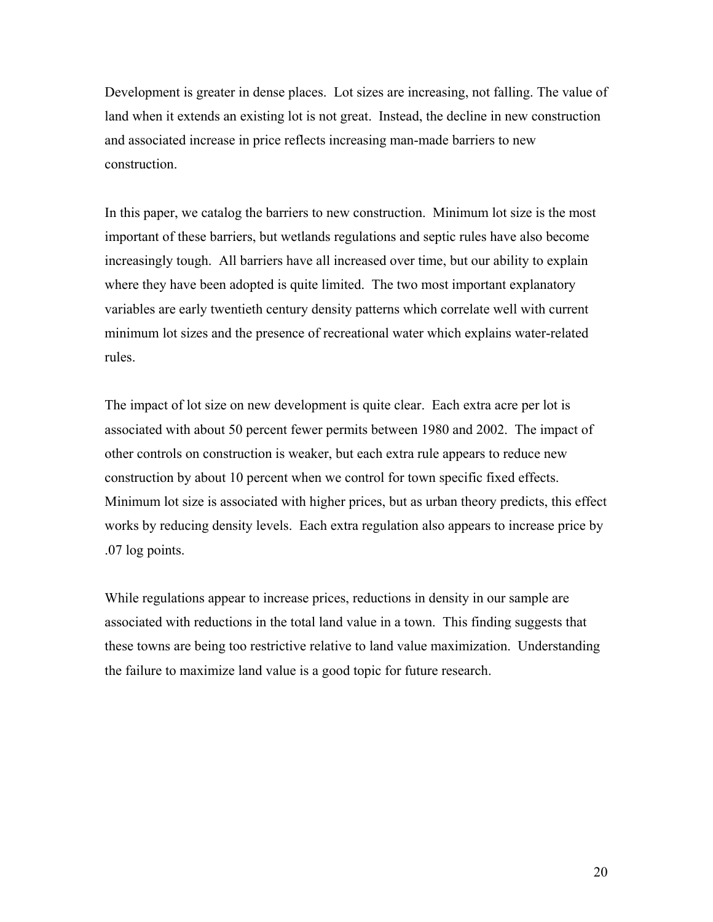Development is greater in dense places. Lot sizes are increasing, not falling. The value of land when it extends an existing lot is not great. Instead, the decline in new construction and associated increase in price reflects increasing man-made barriers to new construction.

In this paper, we catalog the barriers to new construction. Minimum lot size is the most important of these barriers, but wetlands regulations and septic rules have also become increasingly tough. All barriers have all increased over time, but our ability to explain where they have been adopted is quite limited. The two most important explanatory variables are early twentieth century density patterns which correlate well with current minimum lot sizes and the presence of recreational water which explains water-related rules.

The impact of lot size on new development is quite clear. Each extra acre per lot is associated with about 50 percent fewer permits between 1980 and 2002. The impact of other controls on construction is weaker, but each extra rule appears to reduce new construction by about 10 percent when we control for town specific fixed effects. Minimum lot size is associated with higher prices, but as urban theory predicts, this effect works by reducing density levels. Each extra regulation also appears to increase price by .07 log points.

While regulations appear to increase prices, reductions in density in our sample are associated with reductions in the total land value in a town. This finding suggests that these towns are being too restrictive relative to land value maximization. Understanding the failure to maximize land value is a good topic for future research.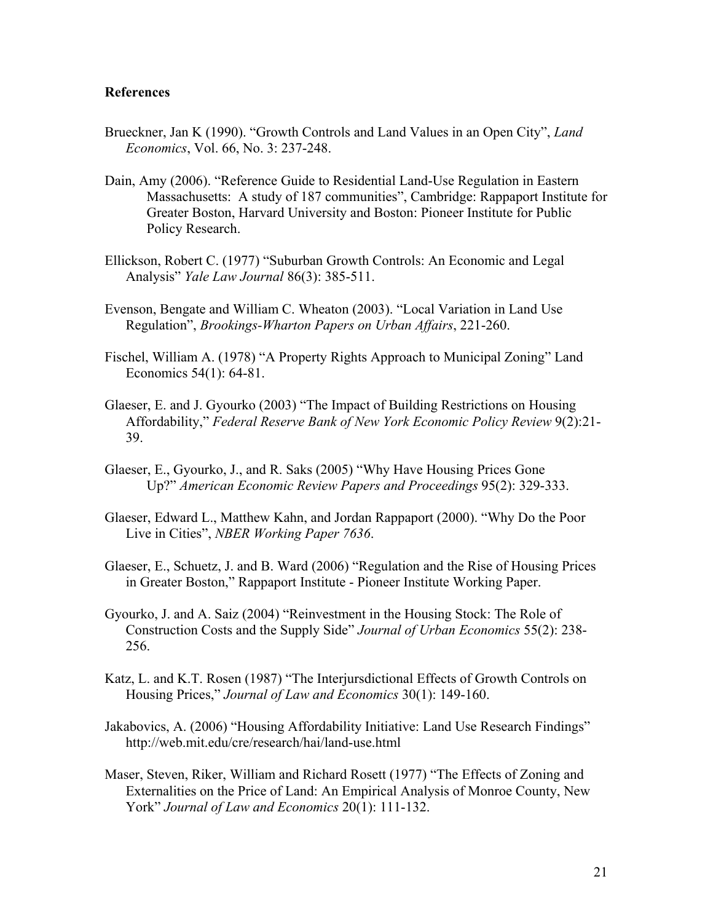## **References**

- Brueckner, Jan K (1990). "Growth Controls and Land Values in an Open City", *Land Economics*, Vol. 66, No. 3: 237-248.
- Dain, Amy (2006). "Reference Guide to Residential Land-Use Regulation in Eastern Massachusetts: A study of 187 communities", Cambridge: Rappaport Institute for Greater Boston, Harvard University and Boston: Pioneer Institute for Public Policy Research.
- Ellickson, Robert C. (1977) "Suburban Growth Controls: An Economic and Legal Analysis" *Yale Law Journal* 86(3): 385-511.
- Evenson, Bengate and William C. Wheaton (2003). "Local Variation in Land Use Regulation", *Brookings-Wharton Papers on Urban Affairs*, 221-260.
- Fischel, William A. (1978) "A Property Rights Approach to Municipal Zoning" Land Economics 54(1): 64-81.
- Glaeser, E. and J. Gyourko (2003) "The Impact of Building Restrictions on Housing Affordability," *Federal Reserve Bank of New York Economic Policy Review* 9(2):21- 39.
- Glaeser, E., Gyourko, J., and R. Saks (2005) "Why Have Housing Prices Gone Up?" *American Economic Review Papers and Proceedings* 95(2): 329-333.
- Glaeser, Edward L., Matthew Kahn, and Jordan Rappaport (2000). "Why Do the Poor Live in Cities", *NBER Working Paper 7636*.
- Glaeser, E., Schuetz, J. and B. Ward (2006) "Regulation and the Rise of Housing Prices in Greater Boston," Rappaport Institute - Pioneer Institute Working Paper.
- Gyourko, J. and A. Saiz (2004) "Reinvestment in the Housing Stock: The Role of Construction Costs and the Supply Side" *Journal of Urban Economics* 55(2): 238- 256.
- Katz, L. and K.T. Rosen (1987) "The Interjursdictional Effects of Growth Controls on Housing Prices," *Journal of Law and Economics* 30(1): 149-160.
- Jakabovics, A. (2006) "Housing Affordability Initiative: Land Use Research Findings" http://web.mit.edu/cre/research/hai/land-use.html
- Maser, Steven, Riker, William and Richard Rosett (1977) "The Effects of Zoning and Externalities on the Price of Land: An Empirical Analysis of Monroe County, New York" *Journal of Law and Economics* 20(1): 111-132.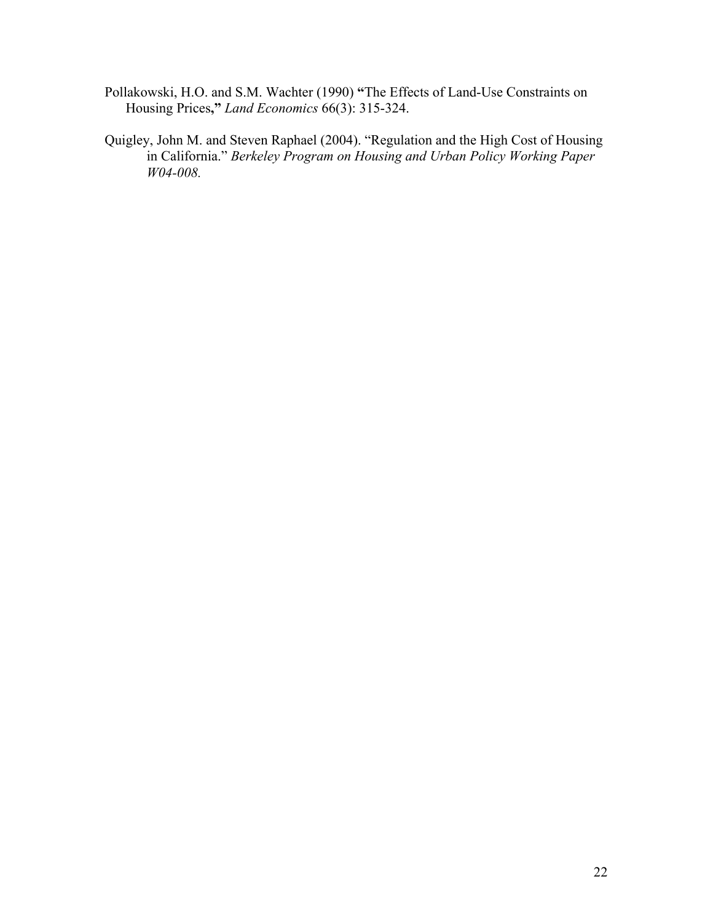- Pollakowski, H.O. and S.M. Wachter (1990) **"**The Effects of Land-Use Constraints on Housing Prices**,"** *Land Economics* 66(3): 315-324.
- Quigley, John M. and Steven Raphael (2004). "Regulation and the High Cost of Housing in California." *Berkeley Program on Housing and Urban Policy Working Paper W04-008.*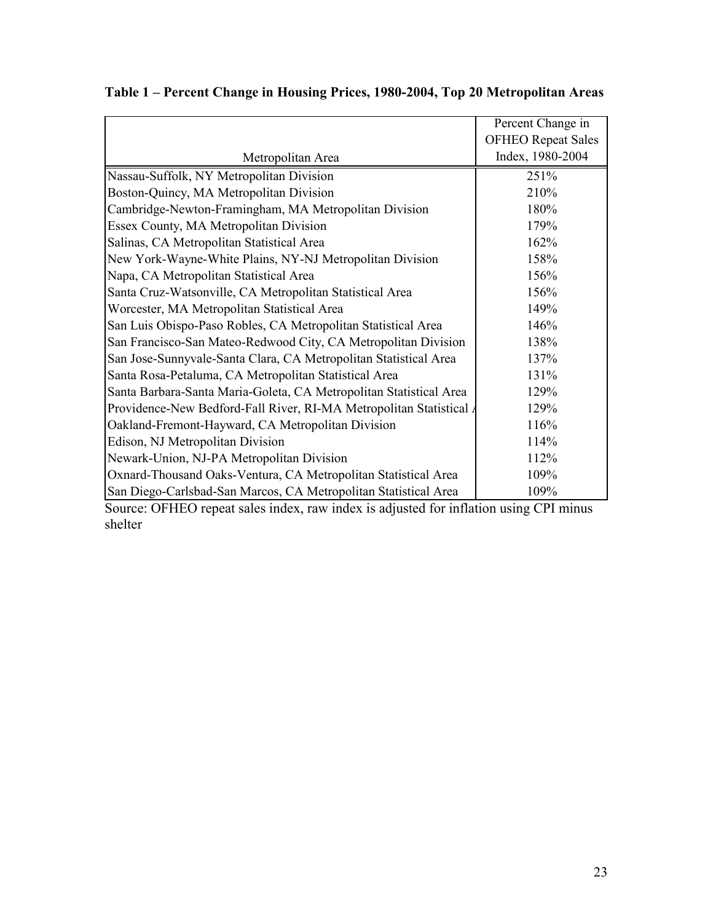|                                                                     | Percent Change in         |
|---------------------------------------------------------------------|---------------------------|
|                                                                     | <b>OFHEO Repeat Sales</b> |
| Metropolitan Area                                                   | Index, 1980-2004          |
| Nassau-Suffolk, NY Metropolitan Division                            | 251%                      |
| Boston-Quincy, MA Metropolitan Division                             | 210%                      |
| Cambridge-Newton-Framingham, MA Metropolitan Division               | 180%                      |
| Essex County, MA Metropolitan Division                              | 179%                      |
| Salinas, CA Metropolitan Statistical Area                           | 162%                      |
| New York-Wayne-White Plains, NY-NJ Metropolitan Division            | 158%                      |
| Napa, CA Metropolitan Statistical Area                              | 156%                      |
| Santa Cruz-Watsonville, CA Metropolitan Statistical Area            | 156%                      |
| Worcester, MA Metropolitan Statistical Area                         | 149%                      |
| San Luis Obispo-Paso Robles, CA Metropolitan Statistical Area       | 146%                      |
| San Francisco-San Mateo-Redwood City, CA Metropolitan Division      | 138%                      |
| San Jose-Sunnyvale-Santa Clara, CA Metropolitan Statistical Area    | 137%                      |
| Santa Rosa-Petaluma, CA Metropolitan Statistical Area               | 131%                      |
| Santa Barbara-Santa Maria-Goleta, CA Metropolitan Statistical Area  | 129%                      |
| Providence-New Bedford-Fall River, RI-MA Metropolitan Statistical / | 129%                      |
| Oakland-Fremont-Hayward, CA Metropolitan Division                   | 116%                      |
| Edison, NJ Metropolitan Division                                    | 114%                      |
| Newark-Union, NJ-PA Metropolitan Division                           | 112%                      |
| Oxnard-Thousand Oaks-Ventura, CA Metropolitan Statistical Area      | 109%                      |
| San Diego-Carlsbad-San Marcos, CA Metropolitan Statistical Area     | 109%                      |

# **Table 1 – Percent Change in Housing Prices, 1980-2004, Top 20 Metropolitan Areas**

Source: OFHEO repeat sales index, raw index is adjusted for inflation using CPI minus shelter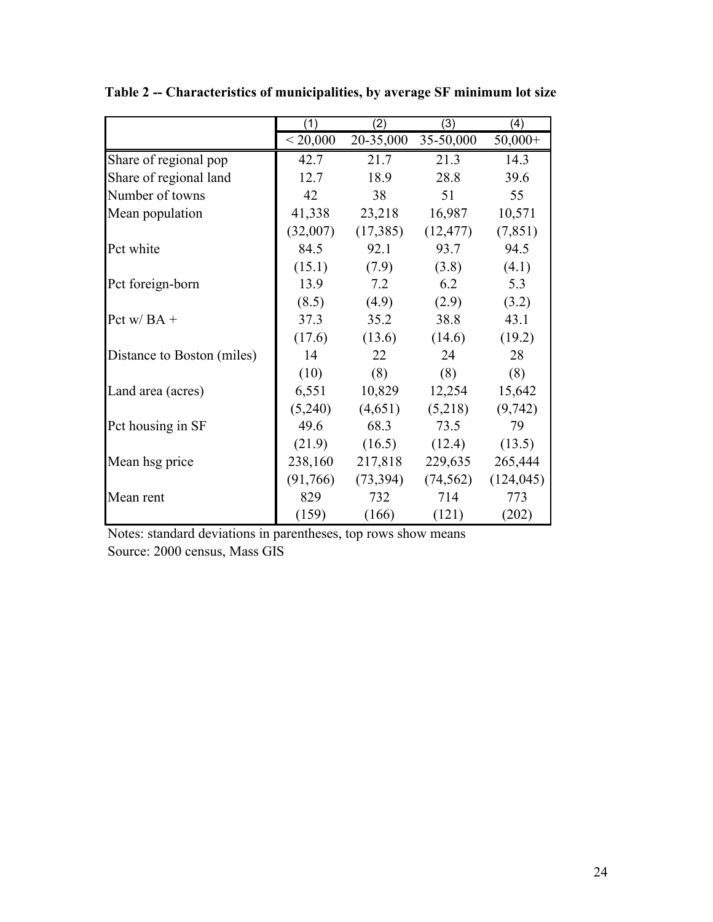|                            | (1)      | (2)       | (3)                 | (4)        |
|----------------------------|----------|-----------|---------------------|------------|
|                            | < 20,000 |           | 20-35,000 35-50,000 | $50,000+$  |
| Share of regional pop      | 42.7     | 21.7      | 21.3                | 14.3       |
| Share of regional land     | 12.7     | 18.9      | 28.8                | 39.6       |
| Number of towns            | 42       | 38        | 51                  | 55         |
| Mean population            | 41,338   | 23,218    | 16,987              | 10,571     |
|                            | (32,007) | (17,385)  | (12, 477)           | (7, 851)   |
| Pct white                  | 84.5     | 92.1      | 93.7                | 94.5       |
|                            | (15.1)   | (7.9)     | (3.8)               | (4.1)      |
| Pct foreign-born           | 13.9     | 7.2       | 6.2                 | 5.3        |
|                            | (8.5)    | (4.9)     | (2.9)               | (3.2)      |
| Pct w/ $BA +$              | 37.3     | 35.2      | 38.8                | 43.1       |
|                            | (17.6)   | (13.6)    | (14.6)              | (19.2)     |
| Distance to Boston (miles) | 14       | 22        | 24                  | 28         |
|                            | (10)     | (8)       | (8)                 | (8)        |
| Land area (acres)          | 6,551    | 10,829    | 12,254              | 15,642     |
|                            | (5,240)  | (4,651)   | (5,218)             | (9, 742)   |
| Pct housing in SF          | 49.6     | 68.3      | 73.5                | 79         |
|                            | (21.9)   | (16.5)    | (12.4)              | (13.5)     |
| Mean hsg price             | 238,160  | 217,818   | 229,635             | 265,444    |
|                            | (91,766) | (73, 394) | (74, 562)           | (124, 045) |
| Mean rent                  | 829      | 732       | 714                 | 773        |
|                            | (159)    | (166)     | (121)               | (202)      |

**Table 2 -- Characteristics of municipalities, by average SF minimum lot size** 

Notes: standard deviations in parentheses, top rows show means Source: 2000 census, Mass GIS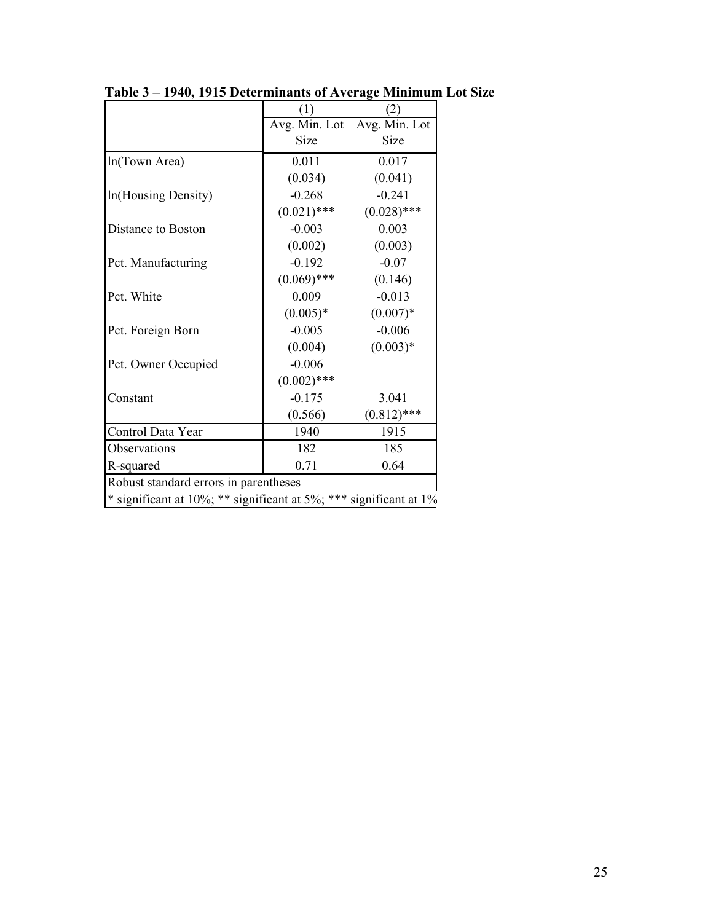|                                                                   | (1)           | (2)                         |  |  |  |
|-------------------------------------------------------------------|---------------|-----------------------------|--|--|--|
|                                                                   |               | Avg. Min. Lot Avg. Min. Lot |  |  |  |
|                                                                   | Size          | Size                        |  |  |  |
| ln(Town Area)                                                     | 0.011         | 0.017                       |  |  |  |
|                                                                   | (0.034)       | (0.041)                     |  |  |  |
| In(Housing Density)                                               | $-0.268$      | $-0.241$                    |  |  |  |
|                                                                   | $(0.021)$ *** | $(0.028)$ ***               |  |  |  |
| Distance to Boston                                                | $-0.003$      | 0.003                       |  |  |  |
|                                                                   | (0.002)       | (0.003)                     |  |  |  |
| Pct. Manufacturing                                                | $-0.192$      | $-0.07$                     |  |  |  |
|                                                                   | $(0.069)$ *** | (0.146)                     |  |  |  |
| Pct. White                                                        | 0.009         | $-0.013$                    |  |  |  |
|                                                                   | $(0.005)*$    | $(0.007)*$                  |  |  |  |
| Pct. Foreign Born                                                 | $-0.005$      | $-0.006$                    |  |  |  |
|                                                                   | (0.004)       | $(0.003)*$                  |  |  |  |
| Pct. Owner Occupied                                               | $-0.006$      |                             |  |  |  |
|                                                                   | $(0.002)$ *** |                             |  |  |  |
| Constant                                                          | $-0.175$      | 3.041                       |  |  |  |
|                                                                   | (0.566)       | $(0.812)$ ***               |  |  |  |
| Control Data Year                                                 | 1940          | 1915                        |  |  |  |
| Observations                                                      | 182           | 185                         |  |  |  |
| R-squared                                                         | 0.71          | 0.64                        |  |  |  |
| Robust standard errors in parentheses                             |               |                             |  |  |  |
| * significant at 10%; ** significant at 5%; *** significant at 1% |               |                             |  |  |  |

**Table 3 – 1940, 1915 Determinants of Average Minimum Lot Size**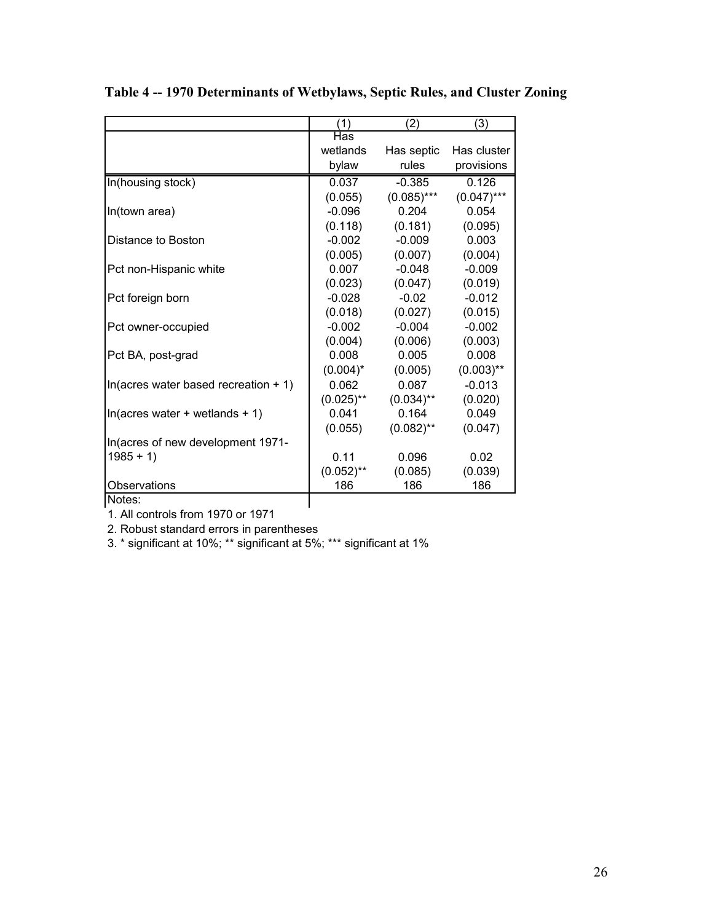|                                                | (1)          | (2)           | (3)           |
|------------------------------------------------|--------------|---------------|---------------|
|                                                | Has          |               |               |
|                                                | wetlands     | Has septic    | Has cluster   |
|                                                | bylaw        | rules         | provisions    |
| In(housing stock)                              | 0.037        | $-0.385$      | 0.126         |
|                                                | (0.055)      | $(0.085)$ *** | $(0.047)$ *** |
| In(town area)                                  | $-0.096$     | 0.204         | 0.054         |
|                                                | (0.118)      | (0.181)       | (0.095)       |
| Distance to Boston                             | $-0.002$     | $-0.009$      | 0.003         |
|                                                | (0.005)      | (0.007)       | (0.004)       |
| Pct non-Hispanic white                         | 0.007        | $-0.048$      | $-0.009$      |
|                                                | (0.023)      | (0.047)       | (0.019)       |
| Pct foreign born                               | $-0.028$     | $-0.02$       | $-0.012$      |
|                                                | (0.018)      | (0.027)       | (0.015)       |
| Pct owner-occupied                             | $-0.002$     | $-0.004$      | $-0.002$      |
|                                                | (0.004)      | (0.006)       | (0.003)       |
| Pct BA, post-grad                              | 0.008        | 0.005         | 0.008         |
|                                                | $(0.004)^*$  | (0.005)       | $(0.003)$ **  |
| In(acres water based recreation $+1$ )         | 0.062        | 0.087         | $-0.013$      |
|                                                | $(0.025)$ ** | $(0.034)$ **  | (0.020)       |
| $ln(\text{acres water} + \text{wetlands} + 1)$ | 0.041        | 0.164         | 0.049         |
|                                                | (0.055)      | $(0.082)$ **  | (0.047)       |
| In(acres of new development 1971-              |              |               |               |
| $1985 + 1$                                     | 0.11         | 0.096         | 0.02          |
|                                                | $(0.052)$ ** | (0.085)       | (0.039)       |
| Observations                                   | 186          | 186           | 186           |
| Notes:                                         |              |               |               |

**Table 4 -- 1970 Determinants of Wetbylaws, Septic Rules, and Cluster Zoning** 

1. All controls from 1970 or 1971

2. Robust standard errors in parentheses

3. \* significant at 10%; \*\* significant at 5%; \*\*\* significant at 1%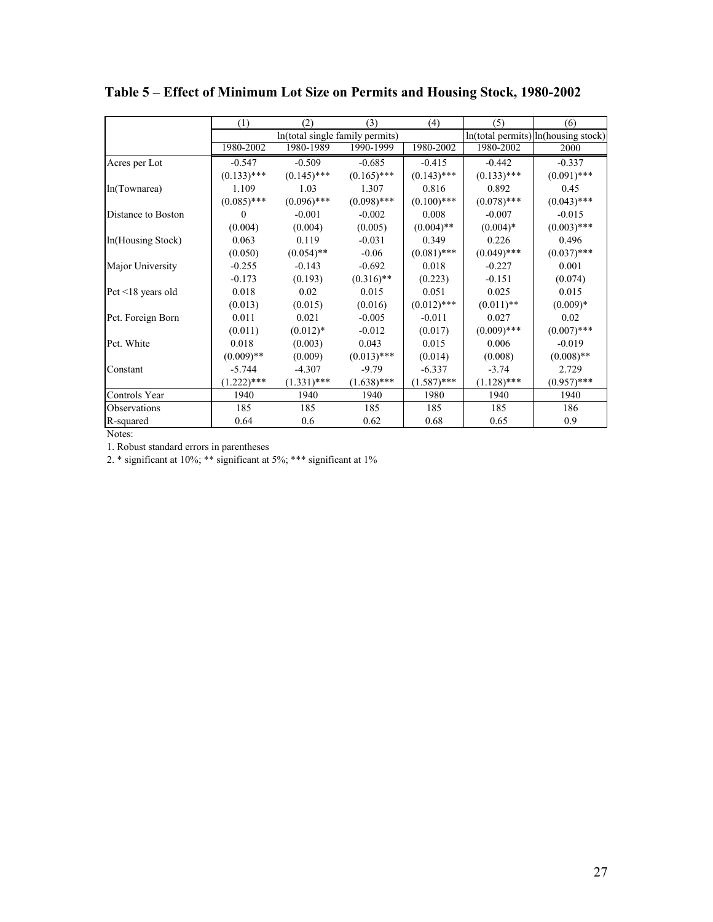|                         | (1)           | (2)                             | (3)           | (4)                                     | (5)           | (6)           |
|-------------------------|---------------|---------------------------------|---------------|-----------------------------------------|---------------|---------------|
|                         |               | In(total single family permits) |               | $ln(total$ permits) $ln(housing stock)$ |               |               |
|                         | 1980-2002     | 1980-1989                       | 1990-1999     | 1980-2002                               | 1980-2002     | 2000          |
| Acres per Lot           | $-0.547$      | $-0.509$                        | $-0.685$      | $-0.415$                                | $-0.442$      | $-0.337$      |
|                         | $(0.133)$ *** | $(0.145)$ ***                   | $(0.165)$ *** | $(0.143)$ ***                           | $(0.133)$ *** | $(0.091)$ *** |
| In(Townarea)            | 1.109         | 1.03                            | 1.307         | 0.816                                   | 0.892         | 0.45          |
|                         | $(0.085)$ *** | $(0.096)$ ***                   | $(0.098)$ *** | $(0.100)$ ***                           | $(0.078)$ *** | $(0.043)$ *** |
| Distance to Boston      | $\theta$      | $-0.001$                        | $-0.002$      | 0.008                                   | $-0.007$      | $-0.015$      |
|                         | (0.004)       | (0.004)                         | (0.005)       | $(0.004)$ **                            | $(0.004)*$    | $(0.003)$ *** |
| In(Housing Stock)       | 0.063         | 0.119                           | $-0.031$      | 0.349                                   | 0.226         | 0.496         |
|                         | (0.050)       | $(0.054)$ **                    | $-0.06$       | $(0.081)$ ***                           | $(0.049)$ *** | $(0.037)$ *** |
| Major University        | $-0.255$      | $-0.143$                        | $-0.692$      | 0.018                                   | $-0.227$      | 0.001         |
|                         | $-0.173$      | (0.193)                         | $(0.316)$ **  | (0.223)                                 | $-0.151$      | (0.074)       |
| Pct $\leq$ 18 years old | 0.018         | 0.02                            | 0.015         | 0.051                                   | 0.025         | 0.015         |
|                         | (0.013)       | (0.015)                         | (0.016)       | $(0.012)$ ***                           | $(0.011)$ **  | $(0.009)*$    |
| Pct. Foreign Born       | 0.011         | 0.021                           | $-0.005$      | $-0.011$                                | 0.027         | 0.02          |
|                         | (0.011)       | $(0.012)*$                      | $-0.012$      | (0.017)                                 | $(0.009)$ *** | $(0.007)$ *** |
| Pct. White              | 0.018         | (0.003)                         | 0.043         | 0.015                                   | 0.006         | $-0.019$      |
|                         | $(0.009)$ **  | (0.009)                         | $(0.013)$ *** | (0.014)                                 | (0.008)       | $(0.008)$ **  |
| Constant                | $-5.744$      | $-4.307$                        | $-9.79$       | $-6.337$                                | $-3.74$       | 2.729         |
|                         | $(1.222)$ *** | $(1.331)$ ***                   | $(1.638)$ *** | $(1.587)$ ***                           | $(1.128)$ *** | $(0.957)$ *** |
| Controls Year           | 1940          | 1940                            | 1940          | 1980                                    | 1940          | 1940          |
| Observations            | 185           | 185                             | 185           | 185                                     | 185           | 186           |
| R-squared               | 0.64          | 0.6                             | 0.62          | 0.68                                    | 0.65          | 0.9           |

**Table 5 – Effect of Minimum Lot Size on Permits and Housing Stock, 1980-2002** 

Notes:

1. Robust standard errors in parentheses

2. \* significant at 10%; \*\* significant at 5%; \*\*\* significant at 1%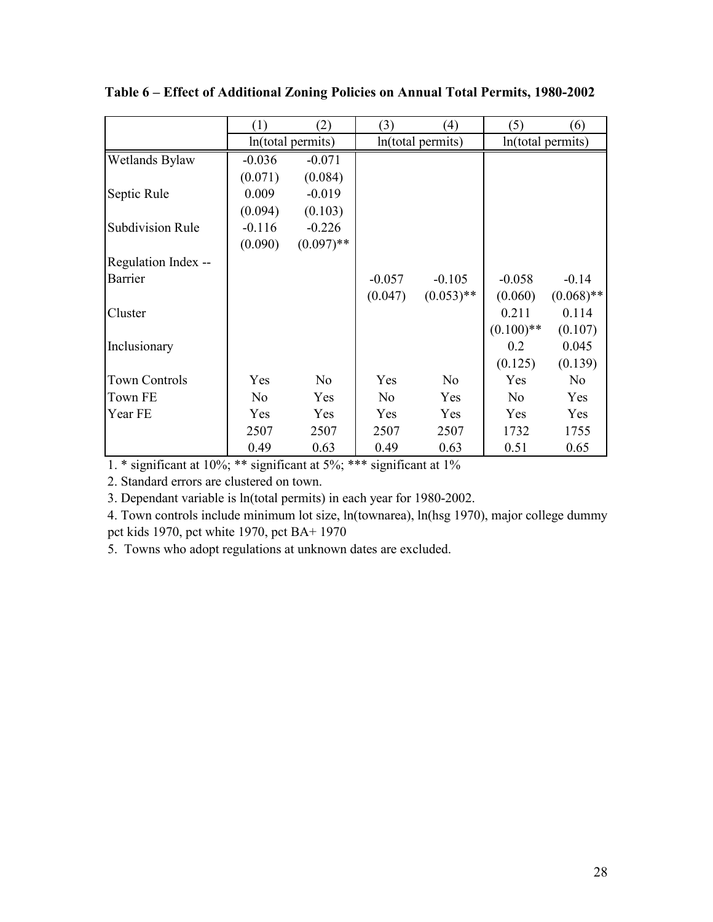|                         | (1)            | (2)               | (3)               | (4)            | (5)               | (6)            |
|-------------------------|----------------|-------------------|-------------------|----------------|-------------------|----------------|
|                         |                | ln(total permits) | ln(total permits) |                | ln(total permits) |                |
| Wetlands Bylaw          | $-0.036$       | $-0.071$          |                   |                |                   |                |
|                         | (0.071)        | (0.084)           |                   |                |                   |                |
| Septic Rule             | 0.009          | $-0.019$          |                   |                |                   |                |
|                         | (0.094)        | (0.103)           |                   |                |                   |                |
| <b>Subdivision Rule</b> | $-0.116$       | $-0.226$          |                   |                |                   |                |
|                         | (0.090)        | $(0.097)$ **      |                   |                |                   |                |
| Regulation Index --     |                |                   |                   |                |                   |                |
| Barrier                 |                |                   | $-0.057$          | $-0.105$       | $-0.058$          | $-0.14$        |
|                         |                |                   | (0.047)           | $(0.053)$ **   | (0.060)           | $(0.068)$ **   |
| Cluster                 |                |                   |                   |                | 0.211             | 0.114          |
|                         |                |                   |                   |                | $(0.100)$ **      | (0.107)        |
| Inclusionary            |                |                   |                   |                | 0.2               | 0.045          |
|                         |                |                   |                   |                | (0.125)           | (0.139)        |
| <b>Town Controls</b>    | Yes            | No                | Yes               | N <sub>o</sub> | Yes               | N <sub>o</sub> |
| <b>Town FE</b>          | N <sub>o</sub> | Yes               | N <sub>0</sub>    | Yes            | N <sub>o</sub>    | Yes            |
| Year FE                 | Yes            | Yes               | Yes               | Yes            | Yes               | Yes            |
|                         | 2507           | 2507              | 2507              | 2507           | 1732              | 1755           |
|                         | 0.49           | 0.63              | 0.49              | 0.63           | 0.51              | 0.65           |

**Table 6 – Effect of Additional Zoning Policies on Annual Total Permits, 1980-2002** 

1. \* significant at 10%; \*\* significant at 5%; \*\*\* significant at 1%

2. Standard errors are clustered on town.

3. Dependant variable is ln(total permits) in each year for 1980-2002.

4. Town controls include minimum lot size, ln(townarea), ln(hsg 1970), major college dummy pct kids 1970, pct white 1970, pct BA+ 1970

5. Towns who adopt regulations at unknown dates are excluded.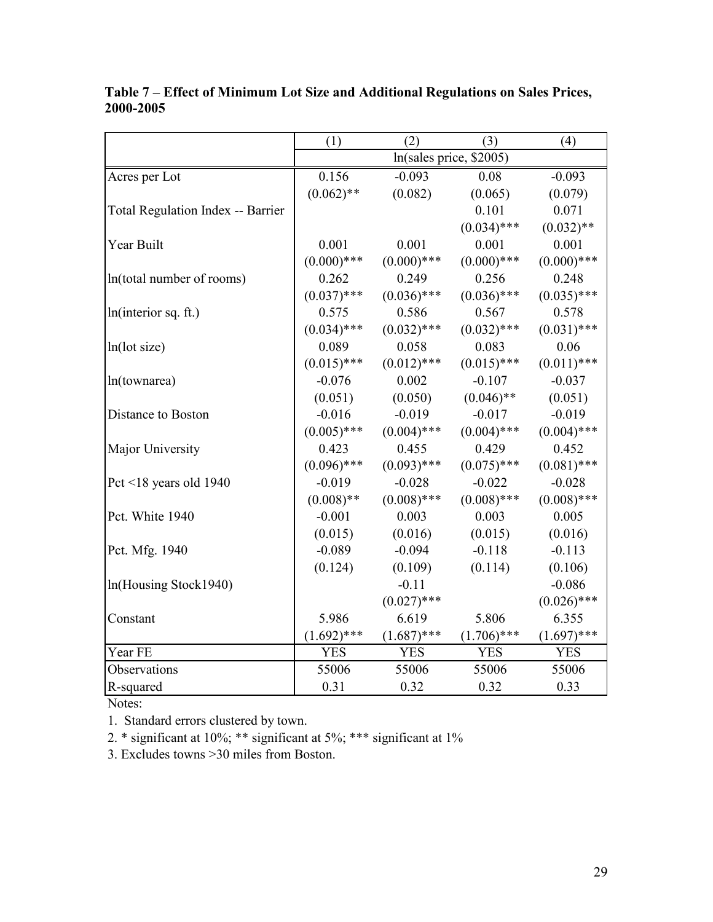|                                          | (1)<br>(2)<br>(3)<br>(4) |               |               |               |  |
|------------------------------------------|--------------------------|---------------|---------------|---------------|--|
|                                          | ln(sales price, \$2005)  |               |               |               |  |
| Acres per Lot                            | 0.156                    | $-0.093$      | 0.08          | $-0.093$      |  |
|                                          | $(0.062)$ **             | (0.082)       | (0.065)       | (0.079)       |  |
| <b>Total Regulation Index -- Barrier</b> |                          |               | 0.101         | 0.071         |  |
|                                          |                          |               | $(0.034)$ *** | $(0.032)$ **  |  |
| Year Built                               | 0.001                    | 0.001         | 0.001         | 0.001         |  |
|                                          | $(0.000)$ ***            | $(0.000)$ *** | $(0.000)$ *** | $(0.000)$ *** |  |
| In(total number of rooms)                | 0.262                    | 0.249         | 0.256         | 0.248         |  |
|                                          | $(0.037)$ ***            | $(0.036)$ *** | $(0.036)$ *** | $(0.035)$ *** |  |
| ln(interior sq. ft.)                     | 0.575                    | 0.586         | 0.567         | 0.578         |  |
|                                          | $(0.034)$ ***            | $(0.032)$ *** | $(0.032)$ *** | $(0.031)$ *** |  |
| ln(lot size)                             | 0.089                    | 0.058         | 0.083         | 0.06          |  |
|                                          | $(0.015)$ ***            | $(0.012)$ *** | $(0.015)$ *** | $(0.011)$ *** |  |
| ln(townarea)                             | $-0.076$                 | 0.002         | $-0.107$      | $-0.037$      |  |
|                                          | (0.051)                  | (0.050)       | $(0.046)$ **  | (0.051)       |  |
| Distance to Boston                       | $-0.016$                 | $-0.019$      | $-0.017$      | $-0.019$      |  |
|                                          | $(0.005)$ ***            | $(0.004)$ *** | $(0.004)$ *** | $(0.004)$ *** |  |
| Major University                         | 0.423                    | 0.455         | 0.429         | 0.452         |  |
|                                          | $(0.096)$ ***            | $(0.093)$ *** | $(0.075)$ *** | $(0.081)$ *** |  |
| Pct <18 years old 1940                   | $-0.019$                 | $-0.028$      | $-0.022$      | $-0.028$      |  |
|                                          | $(0.008)$ **             | $(0.008)$ *** | $(0.008)$ *** | $(0.008)$ *** |  |
| Pct. White 1940                          | $-0.001$                 | 0.003         | 0.003         | 0.005         |  |
|                                          | (0.015)                  | (0.016)       | (0.015)       | (0.016)       |  |
| Pct. Mfg. 1940                           | $-0.089$                 | $-0.094$      | $-0.118$      | $-0.113$      |  |
|                                          | (0.124)                  | (0.109)       | (0.114)       | (0.106)       |  |
| In(Housing Stock1940)                    |                          | $-0.11$       |               | $-0.086$      |  |
|                                          |                          | $(0.027)$ *** |               | $(0.026)$ *** |  |
| Constant                                 | 5.986                    | 6.619         | 5.806         | 6.355         |  |
|                                          | $(1.692)$ ***            | $(1.687)$ *** | $(1.706)$ *** | $(1.697)$ *** |  |
| Year FE                                  | <b>YES</b>               | <b>YES</b>    | <b>YES</b>    | <b>YES</b>    |  |
| Observations                             | 55006                    | 55006         | 55006         | 55006         |  |
| R-squared                                | 0.31                     | 0.32          | 0.32          | 0.33          |  |

**Table 7 – Effect of Minimum Lot Size and Additional Regulations on Sales Prices, 2000-2005** 

Notes:

1. Standard errors clustered by town.

2. \* significant at 10%; \*\* significant at 5%; \*\*\* significant at 1%

3. Excludes towns >30 miles from Boston.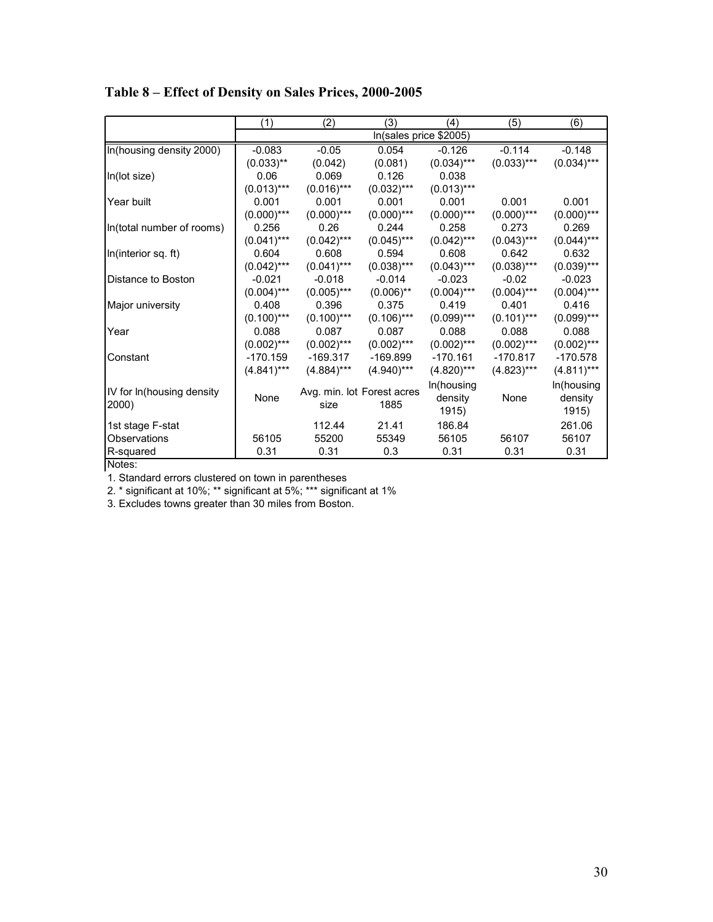|                           | (1)           | (2)           | (3)                        | (4)           | (5)           | (6)           |
|---------------------------|---------------|---------------|----------------------------|---------------|---------------|---------------|
|                           |               |               | In(sales price \$2005)     |               |               |               |
| In(housing density 2000)  | $-0.083$      | $-0.05$       | 0.054                      | $-0.126$      | $-0.114$      | $-0.148$      |
|                           | $(0.033)$ **  | (0.042)       | (0.081)                    | $(0.034)$ *** | $(0.033)***$  | $(0.034)$ *** |
| In(lot size)              | 0.06          | 0.069         | 0.126                      | 0.038         |               |               |
|                           | $(0.013)***$  | $(0.016)$ *** | $(0.032)$ ***              | $(0.013)***$  |               |               |
| Year built                | 0.001         | 0.001         | 0.001                      | 0.001         | 0.001         | 0.001         |
|                           | $(0.000)$ *** | $(0.000)$ *** | $(0.000)$ ***              | $(0.000)$ *** | $(0.000)$ *** | $(0.000)$ *** |
| In(total number of rooms) | 0.256         | 0.26          | 0.244                      | 0.258         | 0.273         | 0.269         |
|                           | $(0.041)$ *** | $(0.042)$ *** | $(0.045)$ ***              | $(0.042)$ *** | $(0.043)$ *** | $(0.044)$ *** |
| In(interior sq. ft)       | 0.604         | 0.608         | 0.594                      | 0.608         | 0.642         | 0.632         |
|                           | $(0.042)$ *** | $(0.041)$ *** | $(0.038)$ ***              | $(0.043)$ *** | $(0.038)$ *** | $(0.039)***$  |
| Distance to Boston        | $-0.021$      | $-0.018$      | $-0.014$                   | $-0.023$      | $-0.02$       | $-0.023$      |
|                           | $(0.004)$ *** | $(0.005)$ *** | $(0.006)$ **               | $(0.004)$ *** | $(0.004)$ *** | $(0.004)$ *** |
| Major university          | 0.408         | 0.396         | 0.375                      | 0.419         | 0.401         | 0.416         |
|                           | $(0.100)$ *** | $(0.100)$ *** | $(0.106)$ ***              | $(0.099)$ *** | $(0.101)$ *** | $(0.099)$ *** |
| Year                      | 0.088         | 0.087         | 0.087                      | 0.088         | 0.088         | 0.088         |
|                           | $(0.002)$ *** | $(0.002)$ *** | $(0.002)$ ***              | $(0.002)$ *** | $(0.002)$ *** | $(0.002)$ *** |
| Constant                  | $-170.159$    | $-169.317$    | $-169.899$                 | $-170.161$    | $-170.817$    | $-170.578$    |
|                           | $(4.841)***$  | $(4.884)$ *** | $(4.940)***$               | $(4.820)***$  | $(4.823)***$  | $(4.811)***$  |
|                           |               |               |                            | In(housing    |               | In(housing    |
| IV for In(housing density | None          |               | Avg. min. lot Forest acres | density       | None          | density       |
| 2000)                     |               | size          | 1885                       | 1915)         |               | 1915)         |
| 1st stage F-stat          |               | 112.44        | 21.41                      | 186.84        |               | 261.06        |
| Observations              | 56105         | 55200         | 55349                      | 56105         | 56107         | 56107         |
| R-squared                 | 0.31          | 0.31          | 0.3                        | 0.31          | 0.31          | 0.31          |

**Table 8 – Effect of Density on Sales Prices, 2000-2005** 

Notes:

1. Standard errors clustered on town in parentheses

2. \* significant at 10%; \*\* significant at 5%; \*\*\* significant at 1%

3. Excludes towns greater than 30 miles from Boston.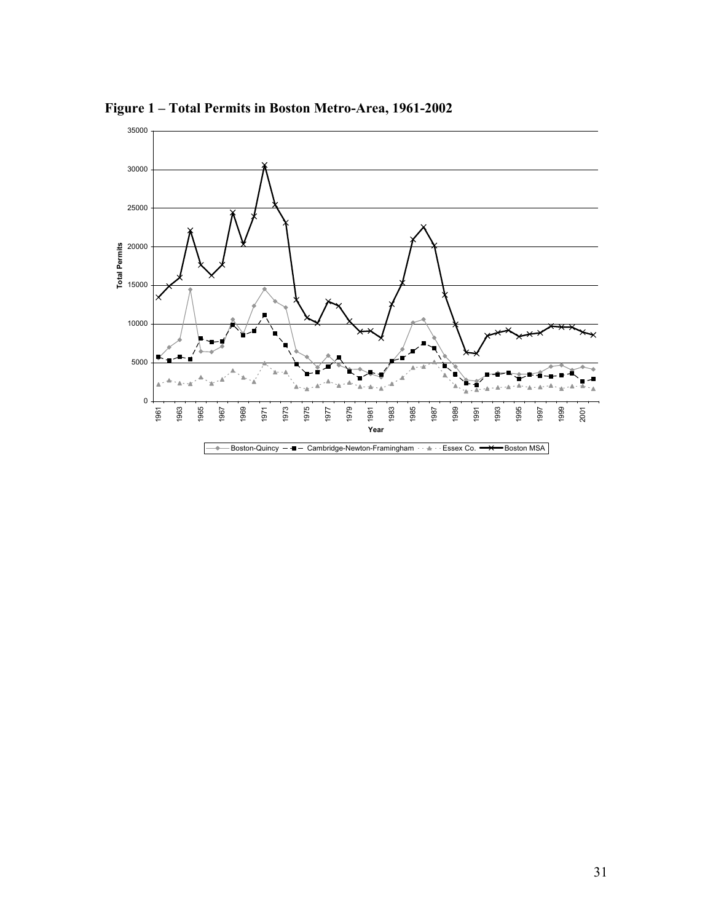

**Figure 1 – Total Permits in Boston Metro-Area, 1961-2002**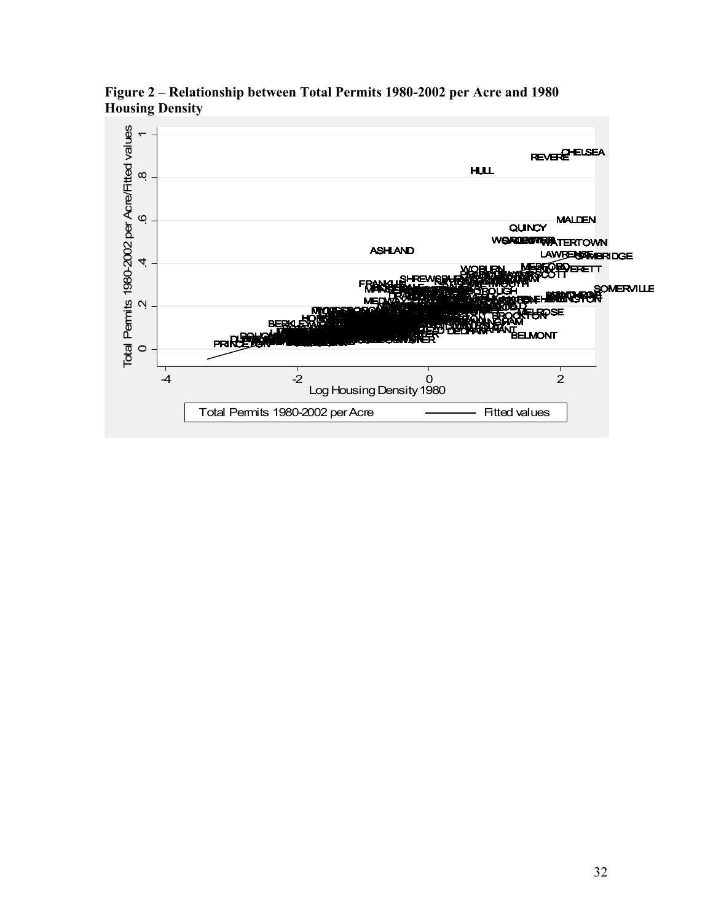

**Figure 2 – Relationship between Total Permits 1980-2002 per Acre and 1980 Housing Density**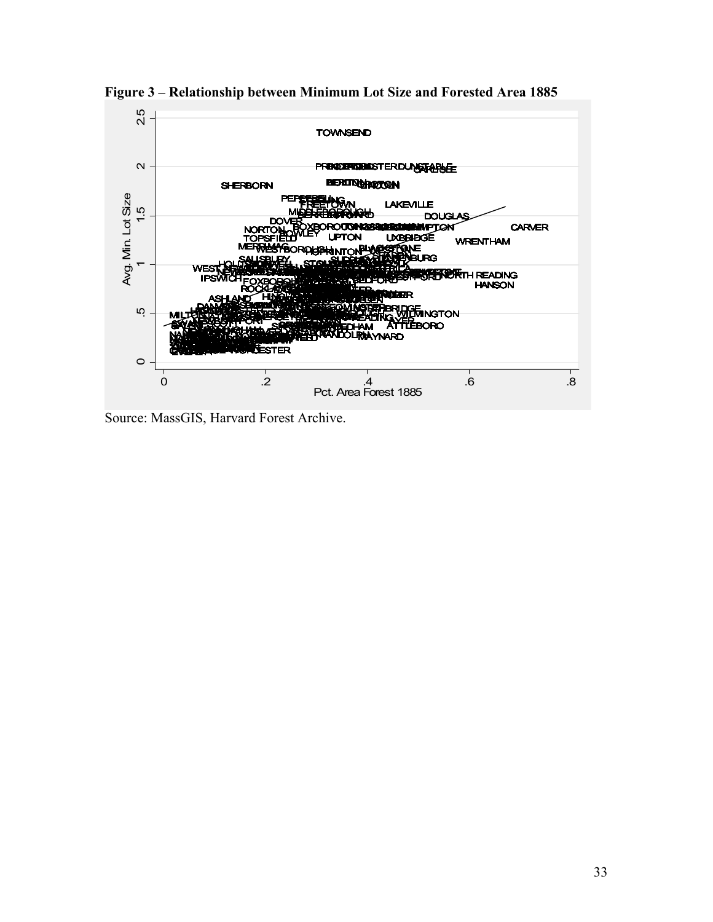

**Figure 3 – Relationship between Minimum Lot Size and Forested Area 1885** 

Source: MassGIS, Harvard Forest Archive.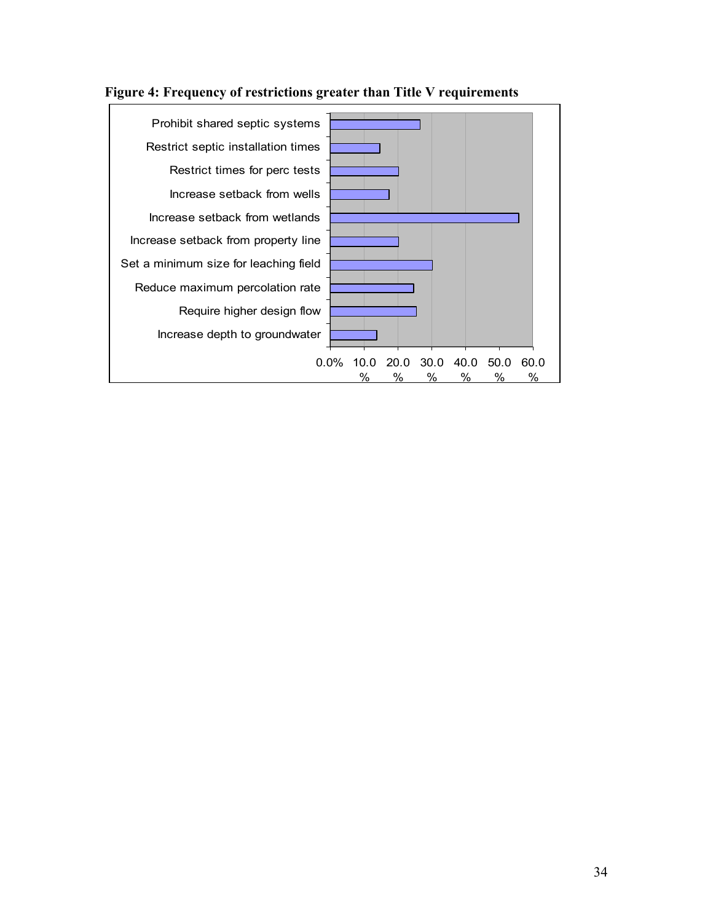

**Figure 4: Frequency of restrictions greater than Title V requirements**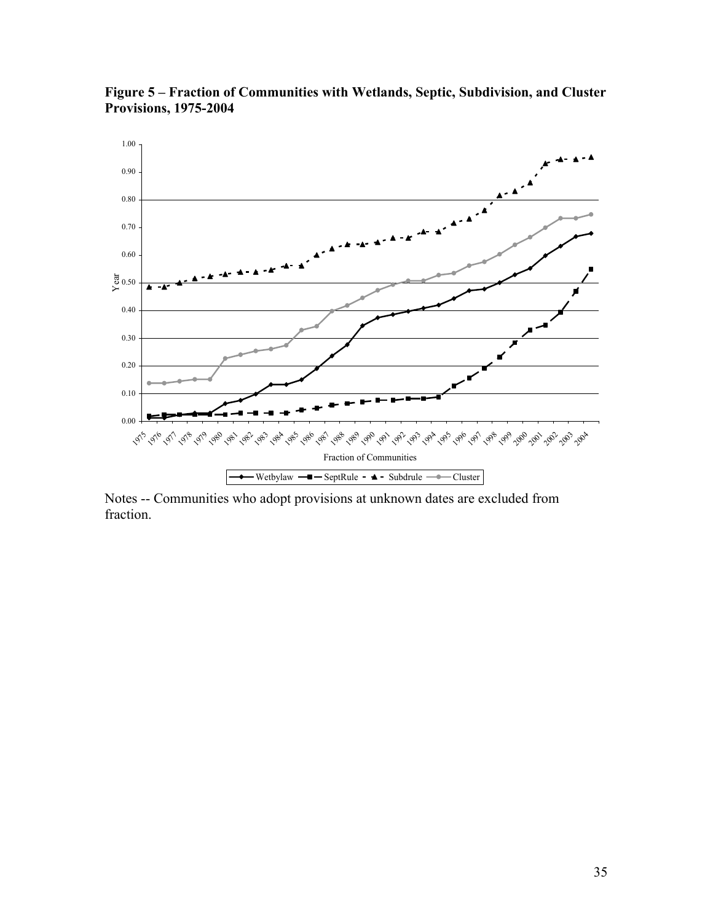

**Figure 5 – Fraction of Communities with Wetlands, Septic, Subdivision, and Cluster Provisions, 1975-2004** 

Notes -- Communities who adopt provisions at unknown dates are excluded from fraction.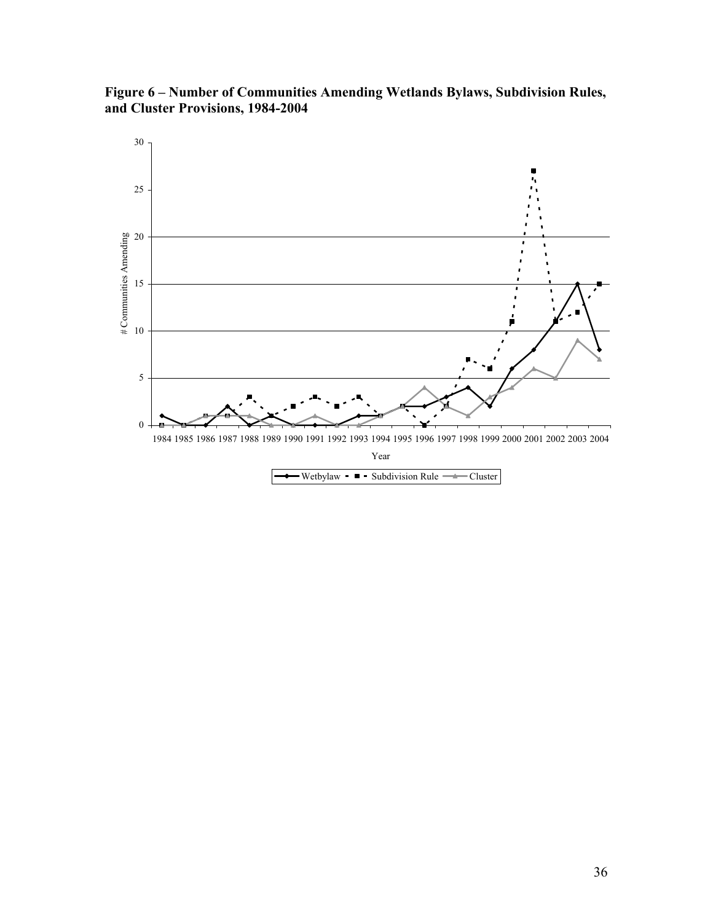**Figure 6 – Number of Communities Amending Wetlands Bylaws, Subdivision Rules, and Cluster Provisions, 1984-2004**